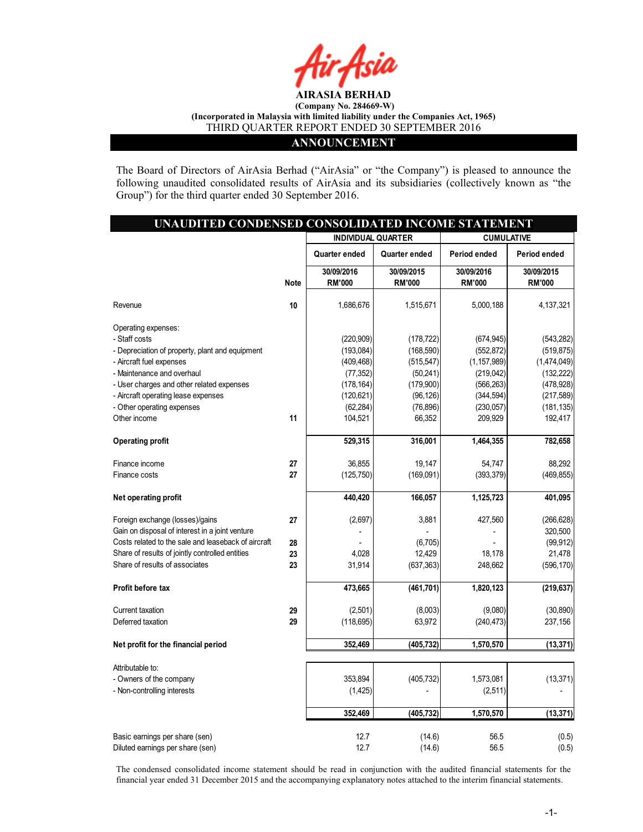

### ANNOUNCEMENT

The Board of Directors of AirAsia Berhad ("AirAsia" or "the Company") is pleased to announce the following unaudited consolidated results of AirAsia and its subsidiaries (collectively known as "the Group") for the third quarter ended 30 September 2016.

| UNAUDITED CONDENSED CONSOLIDATED INCOME STATEMENT   |             |                             |                             |                             |                             |
|-----------------------------------------------------|-------------|-----------------------------|-----------------------------|-----------------------------|-----------------------------|
|                                                     |             | <b>INDIVIDUAL QUARTER</b>   |                             | <b>CUMULATIVE</b>           |                             |
|                                                     |             | Quarter ended               | Quarter ended               | Period ended                | Period ended                |
|                                                     | <b>Note</b> | 30/09/2016<br><b>RM'000</b> | 30/09/2015<br><b>RM'000</b> | 30/09/2016<br><b>RM'000</b> | 30/09/2015<br><b>RM'000</b> |
| Revenue                                             | 10          | 1,686,676                   | 1,515,671                   | 5,000,188                   | 4, 137, 321                 |
| Operating expenses:                                 |             |                             |                             |                             |                             |
| - Staff costs                                       |             | (220, 909)                  | (178, 722)                  | (674, 945)                  | (543, 282)                  |
| - Depreciation of property, plant and equipment     |             | (193,084)                   | (168, 590)                  | (552, 872)                  | (519, 875)                  |
| - Aircraft fuel expenses                            |             | (409, 468)                  | (515, 547)                  | (1, 157, 989)               | (1,474,049)                 |
| - Maintenance and overhaul                          |             | (77, 352)                   | (50, 241)                   | (219, 042)                  | (132, 222)                  |
| - User charges and other related expenses           |             | (178, 164)                  | (179,900)                   | (566, 263)                  | (478, 928)                  |
| - Aircraft operating lease expenses                 |             | (120, 621)                  | (96, 126)                   | (344, 594)                  | (217, 589)                  |
| - Other operating expenses                          |             | (62, 284)                   | (76, 896)                   | (230, 057)                  | (181, 135)                  |
| Other income                                        | 11          | 104,521                     | 66,352                      | 209,929                     | 192,417                     |
| <b>Operating profit</b>                             |             | 529,315                     | 316,001                     | 1,464,355                   | 782,658                     |
| Finance income                                      | 27          | 36,855                      | 19,147                      | 54,747                      | 88,292                      |
| Finance costs                                       | 27          | (125, 750)                  | (169, 091)                  | (393, 379)                  | (469, 855)                  |
| Net operating profit                                |             | 440,420                     | 166,057                     | 1,125,723                   | 401,095                     |
| Foreign exchange (losses)/gains                     | 27          | (2,697)                     | 3,881                       | 427,560                     | (266, 628)                  |
| Gain on disposal of interest in a joint venture     |             |                             |                             |                             | 320,500                     |
| Costs related to the sale and leaseback of aircraft | 28          |                             | (6,705)                     |                             | (99, 912)                   |
| Share of results of jointly controlled entities     | 23          | 4,028                       | 12,429                      | 18,178                      | 21,478                      |
| Share of results of associates                      | 23          | 31,914                      | (637, 363)                  | 248,662                     | (596, 170)                  |
| Profit before tax                                   |             | 473,665                     | (461, 701)                  | 1,820,123                   | (219, 637)                  |
| Current taxation                                    | 29          | (2,501)                     | (8,003)                     | (9,080)                     | (30, 890)                   |
| Deferred taxation                                   | 29          | (118, 695)                  | 63,972                      | (240, 473)                  | 237,156                     |
| Net profit for the financial period                 |             | 352,469                     | (405, 732)                  | 1,570,570                   | (13, 371)                   |
| Attributable to:                                    |             |                             |                             |                             |                             |
| - Owners of the company                             |             | 353,894                     | (405, 732)                  | 1,573,081                   | (13, 371)                   |
| - Non-controlling interests                         |             | (1, 425)                    |                             | (2, 511)                    |                             |
|                                                     |             | 352,469                     | (405, 732)                  | 1,570,570                   | (13, 371)                   |
| Basic earnings per share (sen)                      |             | 12.7                        | (14.6)                      | 56.5                        | (0.5)                       |
| Diluted earnings per share (sen)                    |             | 12.7                        | (14.6)                      | 56.5                        | (0.5)                       |

The condensed consolidated income statement should be read in conjunction with the audited financial statements for the financial year ended 31 December 2015 and the accompanying explanatory notes attached to the interim financial statements.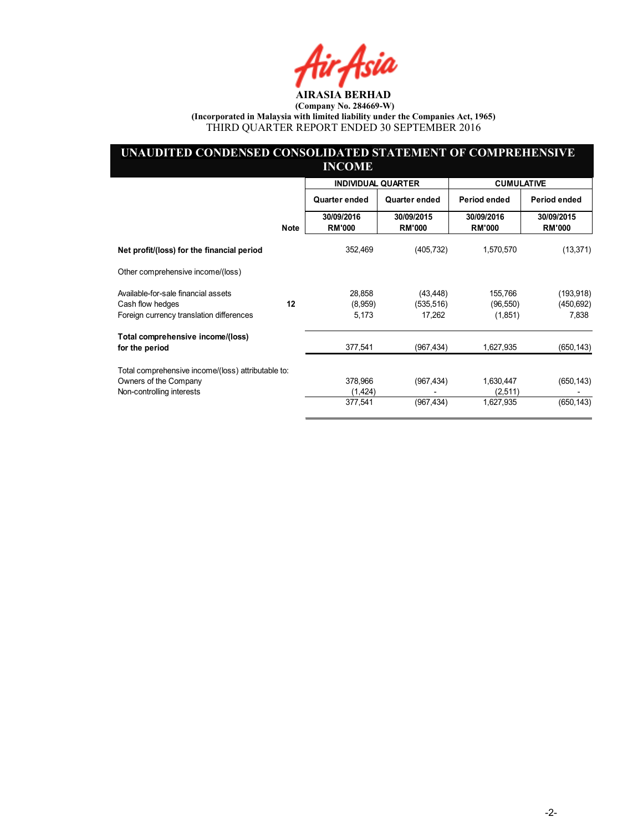Air Asia

### UNAUDITED CONDENSED CONSOLIDATED STATEMENT OF COMPREHENSIVE INCOME

|                                                         |             | <b>INDIVIDUAL QUARTER</b>   |                             | <b>CUMULATIVE</b>           |                             |
|---------------------------------------------------------|-------------|-----------------------------|-----------------------------|-----------------------------|-----------------------------|
|                                                         |             | Quarter ended               | Quarter ended               | Period ended                | Period ended                |
|                                                         | <b>Note</b> | 30/09/2016<br><b>RM'000</b> | 30/09/2015<br><b>RM'000</b> | 30/09/2016<br><b>RM'000</b> | 30/09/2015<br><b>RM'000</b> |
| Net profit/(loss) for the financial period              |             | 352,469                     | (405, 732)                  | 1,570,570                   | (13, 371)                   |
| Other comprehensive income/(loss)                       |             |                             |                             |                             |                             |
| Available-for-sale financial assets<br>Cash flow hedges | 12          | 28,858<br>(8,959)           | (43, 448)<br>(535, 516)     | 155,766<br>(96, 550)        | (193, 918)<br>(450, 692)    |
| Foreign currency translation differences                |             | 5,173                       | 17,262                      | (1,851)                     | 7,838                       |
| Total comprehensive income/(loss)<br>for the period     |             | 377,541                     | (967, 434)                  | 1,627,935                   | (650, 143)                  |
| Total comprehensive income/(loss) attributable to:      |             |                             |                             |                             |                             |
| Owners of the Company<br>Non-controlling interests      |             | 378,966<br>(1,424)          | (967, 434)                  | 1,630,447<br>(2,511)        | (650, 143)                  |
|                                                         |             | 377,541                     | (967, 434)                  | 1,627,935                   | (650, 143)                  |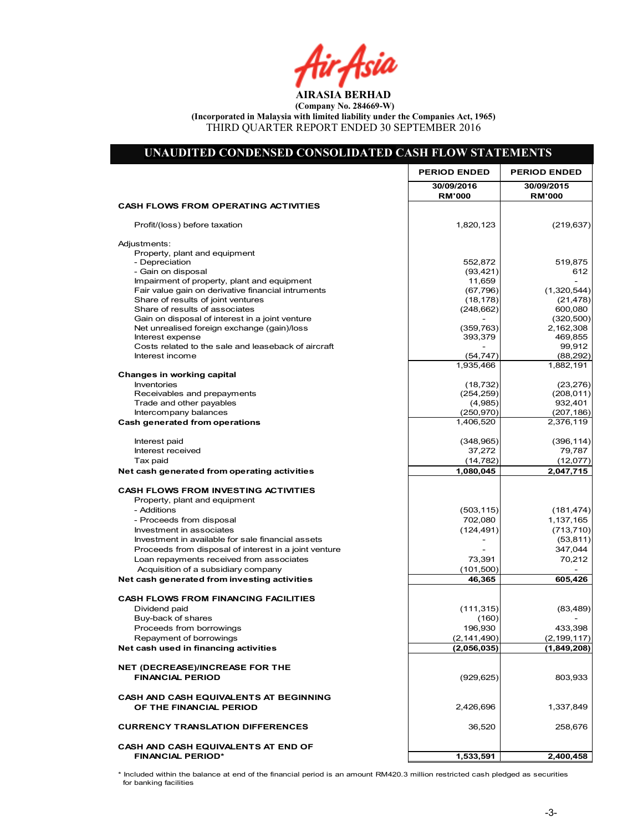Air Asia

| UNAUDITED CONDENSED CONSOLIDATED CASH FLOW STATEMENTS                         |                             |                             |
|-------------------------------------------------------------------------------|-----------------------------|-----------------------------|
|                                                                               | <b>PERIOD ENDED</b>         | <b>PERIOD ENDED</b>         |
|                                                                               | 30/09/2016<br><b>RM'000</b> | 30/09/2015<br><b>RM'000</b> |
| <b>CASH FLOWS FROM OPERATING ACTIVITIES</b>                                   |                             |                             |
| Profit/(loss) before taxation                                                 | 1,820,123                   | (219, 637)                  |
| Adjustments:                                                                  |                             |                             |
| Property, plant and equipment                                                 |                             |                             |
| - Depreciation<br>- Gain on disposal                                          | 552,872<br>(93, 421)        | 519,875<br>612              |
| Impairment of property, plant and equipment                                   | 11,659                      |                             |
| Fair value gain on derivative financial intruments                            | (67, 796)                   | (1,320,544)                 |
| Share of results of joint ventures                                            | (18, 178)                   | (21, 478)                   |
| Share of results of associates                                                | (248, 662)                  | 600,080                     |
| Gain on disposal of interest in a joint venture                               |                             | (320, 500)                  |
| Net unrealised foreign exchange (gain)/loss<br>Interest expense               | (359, 763)                  | 2,162,308<br>469,855        |
| Costs related to the sale and leaseback of aircraft                           | 393,379                     | 99,912                      |
| Interest income                                                               | (54, 747)                   | (88, 292)                   |
|                                                                               | 1,935,466                   | 1,882,191                   |
| Changes in working capital                                                    |                             |                             |
| Inventories                                                                   | (18, 732)                   | (23, 276)                   |
| Receivables and prepayments                                                   | (254, 259)                  | (208, 011)                  |
| Trade and other payables<br>Intercompany balances                             | (4,985)<br>(250, 970)       | 932,401<br>(207, 186)       |
| <b>Cash generated from operations</b>                                         | 1,406,520                   | 2,376,119                   |
|                                                                               |                             |                             |
| Interest paid                                                                 | (348, 965)                  | (396, 114)                  |
| Interest received                                                             | 37,272                      | 79,787                      |
| Tax paid                                                                      | (14, 782)                   | (12,077)                    |
| Net cash generated from operating activities                                  | 1,080,045                   | 2,047,715                   |
| <b>CASH FLOWS FROM INVESTING ACTIVITIES</b>                                   |                             |                             |
| Property, plant and equipment                                                 |                             |                             |
| - Additions                                                                   | (503, 115)                  | (181, 474)                  |
| - Proceeds from disposal                                                      | 702,080                     | 1,137,165                   |
| Investment in associates<br>Investment in available for sale financial assets | (124, 491)                  | (713, 710)                  |
| Proceeds from disposal of interest in a joint venture                         |                             | (53, 811)<br>347,044        |
| Loan repayments received from associates                                      | 73,391                      | 70,212                      |
| Acquisition of a subsidiary company                                           | (101,500)                   |                             |
| Net cash generated from investing activities                                  | 46,365                      | 605,426                     |
|                                                                               |                             |                             |
| <b>CASH FLOWS FROM FINANCING FACILITIES</b>                                   |                             |                             |
| Dividend paid                                                                 | (111, 315)                  | (83, 489)                   |
| Buy-back of shares<br>Proceeds from borrowings                                | (160)<br>196,930            | 433,398                     |
| Repayment of borrowings                                                       | (2, 141, 490)               | (2, 199, 117)               |
| Net cash used in financing activities                                         | (2,056,035)                 | (1,849,208)                 |
|                                                                               |                             |                             |
| <b>NET (DECREASE)/INCREASE FOR THE</b>                                        |                             |                             |
| <b>FINANCIAL PERIOD</b>                                                       | (929, 625)                  | 803,933                     |
| CASH AND CASH EQUIVALENTS AT BEGINNING                                        |                             |                             |
| OF THE FINANCIAL PERIOD                                                       | 2,426,696                   | 1,337,849                   |
| <b>CURRENCY TRANSLATION DIFFERENCES</b>                                       | 36,520                      | 258,676                     |
| CASH AND CASH EQUIVALENTS AT END OF                                           |                             |                             |
| <b>FINANCIAL PERIOD*</b>                                                      | 1,533,591                   | 2,400,458                   |

\* Included within the balance at end of the financial period is an amount RM420.3 million restricted cash pledged as securities for banking facilities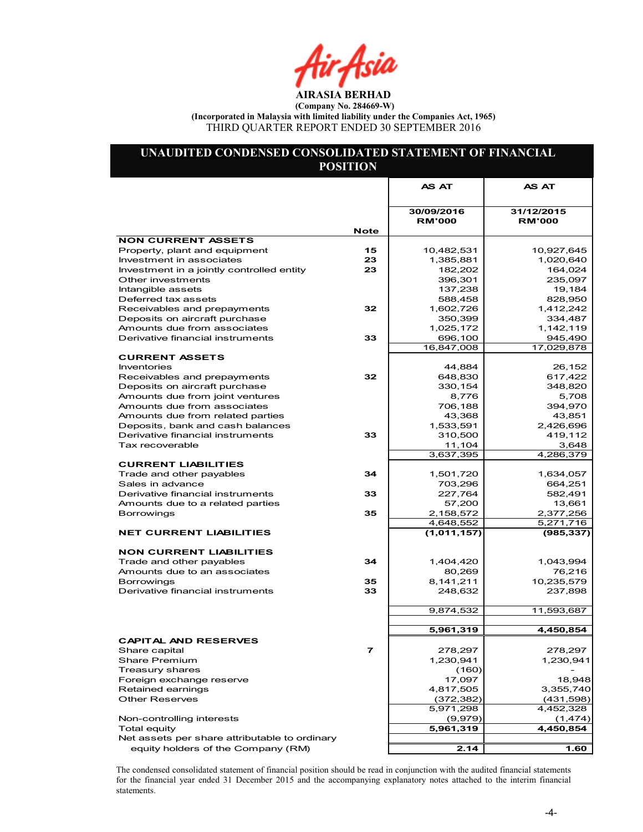Air Asia

### UNAUDITED CONDENSED CONSOLIDATED STATEMENT OF FINANCIAL POSITION

|                                                       |             | AS AT                       | <b>AS AT</b>                |
|-------------------------------------------------------|-------------|-----------------------------|-----------------------------|
|                                                       |             |                             |                             |
|                                                       | <b>Note</b> | 30/09/2016<br><b>RM'000</b> | 31/12/2015<br><b>RM'000</b> |
| <b>NON CURRENT ASSETS</b>                             |             |                             |                             |
| Property, plant and equipment                         | 15          | 10,482,531                  | 10,927,645                  |
| Investment in associates                              | 23          | 1,385,881                   | 1,020,640                   |
| Investment in a jointly controlled entity             | 23          | 182,202                     | 164,024                     |
| Other investments                                     |             | 396,301                     | 235,097                     |
| Intangible assets                                     |             | 137,238                     | 19,184                      |
| Deferred tax assets                                   |             | 588,458                     | 828,950                     |
| Receivables and prepayments                           | 32          | 1,602,726                   | 1,412,242                   |
| Deposits on aircraft purchase                         |             | 350,399                     | 334,487                     |
| Amounts due from associates                           |             | 1,025,172                   | 1,142,119                   |
| Derivative financial instruments                      | 33          | 696,100                     | 945,490                     |
| <b>CURRENT ASSETS</b>                                 |             | 16,847,008                  | 17,029,878                  |
| Inventories                                           |             | 44,884                      | 26,152                      |
| Receivables and prepayments                           | 32          | 648,830                     | 617,422                     |
| Deposits on aircraft purchase                         |             | 330,154                     | 348,820                     |
| Amounts due from joint ventures                       |             | 8,776                       | 5,708                       |
| Amounts due from associates                           |             | 706,188                     | 394,970                     |
| Amounts due from related parties                      |             | 43,368                      | 43,851                      |
| Deposits, bank and cash balances                      |             | 1,533,591                   | 2,426,696                   |
| Derivative financial instruments                      | 33          | 310,500                     | 419,112                     |
| Tax recoverable                                       |             | 11,104                      | 3,648                       |
|                                                       |             | 3,637,395                   | 4,286,379                   |
| <b>CURRENT LIABILITIES</b>                            |             |                             |                             |
| Trade and other payables                              | 34          | 1,501,720                   | 1,634,057                   |
| Sales in advance                                      |             | 703,296                     | 664,251                     |
| Derivative financial instruments                      | 33          | 227,764                     | 582,491                     |
| Amounts due to a related parties<br><b>Borrowings</b> | 35          | 57,200<br>2,158,572         | 13,661<br>2,377,256         |
|                                                       |             | 4,648,552                   | 5,271,716                   |
| <b>NET CURRENT LIABILITIES</b>                        |             | (1,011,157)                 | (985, 337)                  |
|                                                       |             |                             |                             |
| <b>NON CURRENT LIABILITIES</b>                        |             |                             |                             |
| Trade and other payables                              | 34          | 1,404,420                   | 1,043,994                   |
| Amounts due to an associates                          |             | 80,269                      | 76,216                      |
| <b>Borrowings</b>                                     | 35          | 8,141,211                   | 10,235,579                  |
| Derivative financial instruments                      | 33          | 248,632                     | 237,898                     |
|                                                       |             |                             |                             |
|                                                       |             | 9,874,532                   | 11,593,687                  |
|                                                       |             |                             |                             |
|                                                       |             | 5,961,319                   | 4,450,854                   |
| <b>CAPITAL AND RESERVES</b>                           |             | 278,297                     | 278,297                     |
| Share capital<br><b>Share Premium</b>                 |             | 1,230,941                   | 1,230,941                   |
| Treasury shares                                       |             | (160)                       |                             |
| Foreign exchange reserve                              |             | 17,097                      | 18,948                      |
| Retained earnings                                     |             | 4,817,505                   | 3,355,740                   |
| <b>Other Reserves</b>                                 |             | (372, 382)                  | (431, 598)                  |
|                                                       |             | 5,971,298                   | 4,452,328                   |
| Non-controlling interests                             |             | (9,979)                     | (1, 474)                    |
| <b>Total equity</b>                                   |             | 5,961,319                   | 4,450,854                   |
| Net assets per share attributable to ordinary         |             |                             |                             |
| equity holders of the Company (RM)                    |             | 2.14                        | 1.60                        |

The condensed consolidated statement of financial position should be read in conjunction with the audited financial statements for the financial year ended 31 December 2015 and the accompanying explanatory notes attached to the interim financial statements.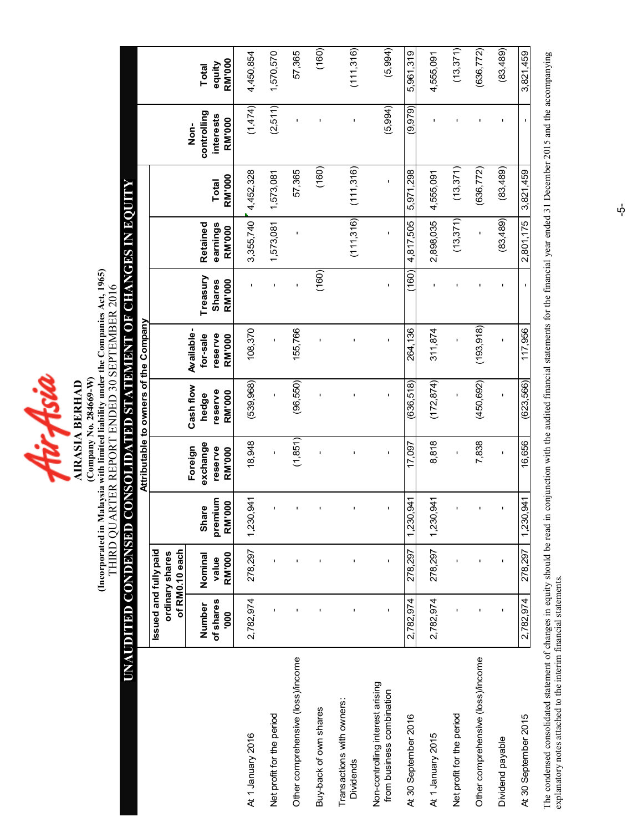fürfsia

(Incorporated in Malaysia with limited liability under the Companies Act, 1965)<br>THIRD QUARTER REPORT ENDED 30 SEPTEMBER 2016 (Incorporated in Malaysia with limited liability under the Companies Act, 1965) THIRD QUARTER REPORT ENDED 30 SEPTEMBER 2016 (Company No. 284669-W) (Company No. 284669-W) **AIRASIA BERHAD** AIRASIA BERHAD

# UNAUDITED CONDENSED CONSOLIDATED STATEMENT OF CHANGES IN EQUITY UNAUDITED CONDENSED CONSOLIDATED STATEMENT OF CHANGES IN EQUITY

|                                                               |                       |                                   |                           |                     | Attributable to owners of the Company |                     |                           |                      |              |                          |                 |
|---------------------------------------------------------------|-----------------------|-----------------------------------|---------------------------|---------------------|---------------------------------------|---------------------|---------------------------|----------------------|--------------|--------------------------|-----------------|
|                                                               | Issued and fully paid |                                   |                           |                     |                                       |                     |                           |                      |              |                          |                 |
|                                                               |                       | of RM0.10 each<br>ordinary shares |                           |                     |                                       |                     |                           |                      |              |                          |                 |
|                                                               |                       |                                   |                           | Foreign             | Cash flow                             | Available-          |                           |                      |              | $\frac{1}{2}$            |                 |
|                                                               | of shares<br>Number   | Nominal<br>value                  | premium<br>e<br>Le<br>Sha | exchange<br>reserve | reserve<br>hedge                      | reserve<br>for-sale | Treasury<br><b>Shares</b> | Retained<br>earnings | Total        | controlling<br>interests | equity<br>Total |
|                                                               | <b>000</b>            | <b>RM'000</b>                     | <b>RM'000</b>             | RM'000              | RM'000                                | RM'000              | <b>RM'000</b>             | <b>RM'000</b>        | RM'000       | RM'000                   | <b>RM'000</b>   |
| At 1 January 2016                                             | 2,782,974             | 278,297                           | 1,230,941                 | 18,948              | (539, 968)                            | 108,370             |                           | 3,355,740            | 4,452,328    | (1,474)                  | 4,450,854       |
| Net profit for the period                                     |                       |                                   |                           |                     | ı                                     | ı                   | f,                        | 1,573,081            | 1,573,081    | (2,511)                  | 1,570,570       |
| Other comprehensive (loss)/income                             |                       | ı                                 |                           | (1,851)             | (96, 550)                             | 155,766             | ı                         |                      | 57,365       |                          | 57,365          |
| Buy-back of own shares                                        |                       |                                   |                           | ı                   | ı                                     | ı                   | (160)                     |                      | (160)        |                          | (160)           |
| Transactions with owners:<br><b>Dividends</b>                 |                       |                                   |                           |                     | ı                                     |                     |                           | (11,316)             | (111,316)    | 1                        | (111, 316)      |
| Non-controlling interest arising<br>from business combination | $\mathbf{I}$          | $\mathbf{I}$                      |                           | $\mathbf{I}$        | $\blacksquare$                        | $\mathbf{I}$        | $\mathbf{I}$              | $\mathbf{I}$         | $\mathbf{I}$ | (5,994)                  | (5,994)         |
| At 30 September 2016                                          | 2,782,974             | 278,297                           | 0,941<br>1,230            | 17,097              | (636, 518)                            | 264,136             | (160)                     | 4,817,505            | 5,971,298    | (9, 979)                 | 5,961,319       |
| At 1 January 2015                                             | 2,782,974             | 278,297                           | 1,230,941                 | 8,818               | (172, 874)                            | 311,874             | $\mathbf{I}$              | 2,898,035            | 4,555,091    |                          | 4,555,091       |
| Net profit for the period                                     |                       |                                   |                           |                     | ı                                     |                     |                           | (13, 371)            | (13, 371)    |                          | (13, 371)       |
| Other comprehensive (loss)/income                             |                       |                                   |                           | 7,838               | (450, 692)                            | (193,918)           |                           |                      | (636, 772)   |                          | (636, 772)      |
| Dividend payable                                              | $\blacksquare$        | ı                                 |                           | $\mathbf{I}$        | ı                                     | $\mathbf{I}$        |                           | (83, 489)            | (83,489)     |                          | (83, 489)       |
| At 30 September 2015                                          | 2,782,974             | 278,297                           | 1,941<br>1,230            | 16,656              | (623, 566)                            | 117.956             |                           | 2,801,175            | 3,821,459    |                          | 3,821,459       |
|                                                               |                       |                                   |                           |                     |                                       |                     |                           |                      |              |                          |                 |

The condensed consolidated statement of changes in equity should be read in conjunction with the audited financial statements for the financial year ended 31 December 2015 and the accompanying<br>explanatory notes attached to The condensed consolidated statement of changes in equity should be read in conjunction with the audited financial statements for the financial year ended 31 December 2015 and the accompanying explanatory notes attached to the interim financial statements.

 $\dot{\phi}$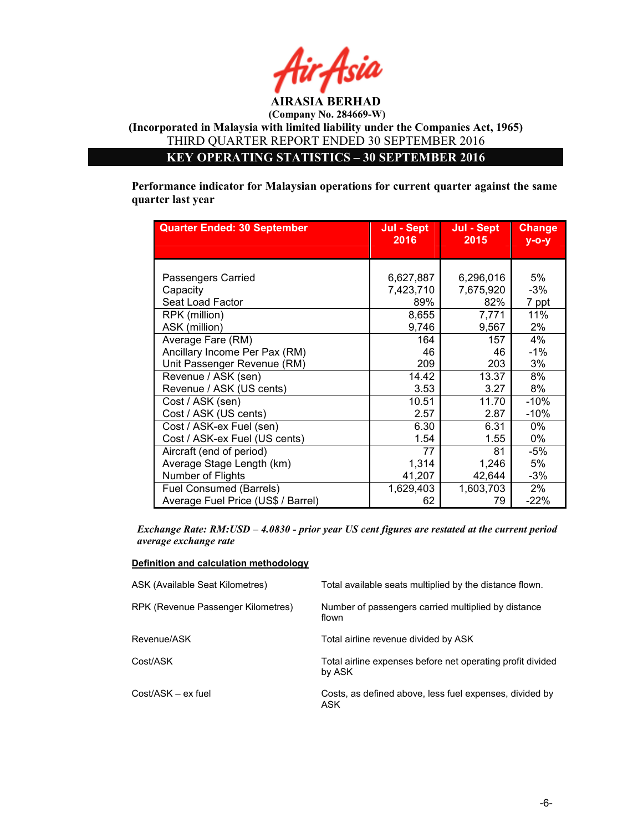

KEY OPERATING STATISTICS – 30 SEPTEMBER 2016

Performance indicator for Malaysian operations for current quarter against the same quarter last year

| <b>Quarter Ended: 30 September</b> | Jul - Sept<br>2016 | Jul - Sept<br>2015 | <b>Change</b><br>$V - O - V$ |
|------------------------------------|--------------------|--------------------|------------------------------|
|                                    |                    |                    |                              |
|                                    |                    |                    |                              |
| Passengers Carried                 | 6,627,887          | 6,296,016          | 5%                           |
| Capacity                           | 7,423,710          | 7,675,920          | $-3%$                        |
| Seat Load Factor                   | 89%                | 82%                | 7 ppt                        |
| RPK (million)                      | 8,655              | 7,771              | 11%                          |
| ASK (million)                      | 9,746              | 9,567              | 2%                           |
| Average Fare (RM)                  | 164                | 157                | 4%                           |
| Ancillary Income Per Pax (RM)      | 46                 | 46                 | $-1\%$                       |
| Unit Passenger Revenue (RM)        | 209                | 203                | 3%                           |
| Revenue / ASK (sen)                | 14.42              | 13.37              | 8%                           |
| Revenue / ASK (US cents)           | 3.53               | 3.27               | 8%                           |
| Cost / ASK (sen)                   | 10.51              | 11.70              | $-10%$                       |
| Cost / ASK (US cents)              | 2.57               | 2.87               | -10%                         |
| Cost / ASK-ex Fuel (sen)           | 6.30               | 6.31               | 0%                           |
| Cost / ASK-ex Fuel (US cents)      | 1.54               | 1.55               | $0\%$                        |
| Aircraft (end of period)           | 77                 | 81                 | -5%                          |
| Average Stage Length (km)          | 1,314              | 1,246              | 5%                           |
| Number of Flights                  | 41,207             | 42,644             | $-3%$                        |
| <b>Fuel Consumed (Barrels)</b>     | 1,629,403          | 1,603,703          | 2%                           |
| Average Fuel Price (US\$ / Barrel) | 62                 | 79                 | $-22%$                       |

Exchange Rate: RM:USD – 4.0830 - prior year US cent figures are restated at the current period average exchange rate

### Definition and calculation methodology

| ASK (Available Seat Kilometres)    | Total available seats multiplied by the distance flown.              |
|------------------------------------|----------------------------------------------------------------------|
| RPK (Revenue Passenger Kilometres) | Number of passengers carried multiplied by distance<br>flown         |
| Revenue/ASK                        | Total airline revenue divided by ASK                                 |
| Cost/ASK                           | Total airline expenses before net operating profit divided<br>by ASK |
| Cost/ASK – ex fuel                 | Costs, as defined above, less fuel expenses, divided by<br>ASK.      |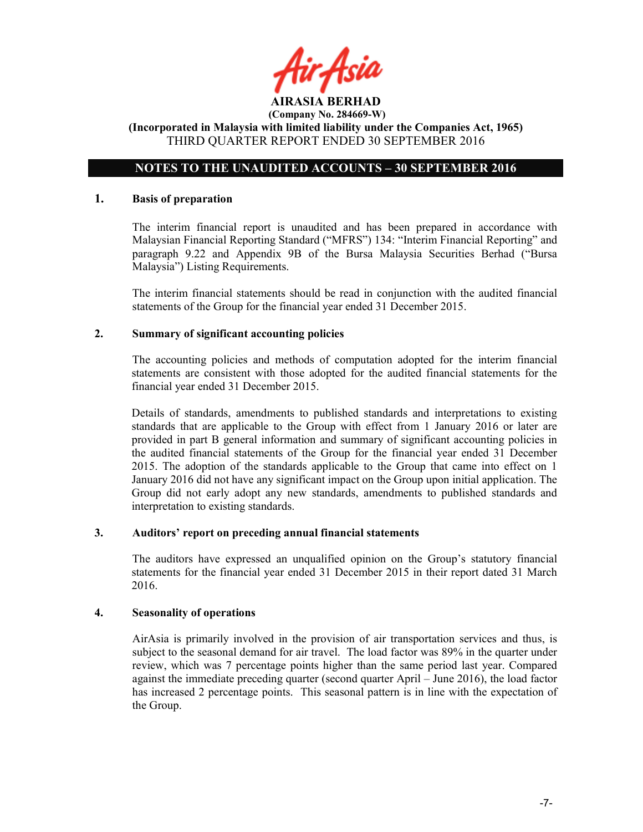

### NOTES TO THE UNAUDITED ACCOUNTS – 30 SEPTEMBER 2016

### 1. Basis of preparation

The interim financial report is unaudited and has been prepared in accordance with Malaysian Financial Reporting Standard ("MFRS") 134: "Interim Financial Reporting" and paragraph 9.22 and Appendix 9B of the Bursa Malaysia Securities Berhad ("Bursa Malaysia") Listing Requirements.

The interim financial statements should be read in conjunction with the audited financial statements of the Group for the financial year ended 31 December 2015.

### 2. Summary of significant accounting policies

The accounting policies and methods of computation adopted for the interim financial statements are consistent with those adopted for the audited financial statements for the financial year ended 31 December 2015.

Details of standards, amendments to published standards and interpretations to existing standards that are applicable to the Group with effect from 1 January 2016 or later are provided in part B general information and summary of significant accounting policies in the audited financial statements of the Group for the financial year ended 31 December 2015. The adoption of the standards applicable to the Group that came into effect on 1 January 2016 did not have any significant impact on the Group upon initial application. The Group did not early adopt any new standards, amendments to published standards and interpretation to existing standards.

### 3. Auditors' report on preceding annual financial statements

The auditors have expressed an unqualified opinion on the Group's statutory financial statements for the financial year ended 31 December 2015 in their report dated 31 March 2016.

### 4. Seasonality of operations

AirAsia is primarily involved in the provision of air transportation services and thus, is subject to the seasonal demand for air travel. The load factor was 89% in the quarter under review, which was 7 percentage points higher than the same period last year. Compared against the immediate preceding quarter (second quarter April – June 2016), the load factor has increased 2 percentage points. This seasonal pattern is in line with the expectation of the Group.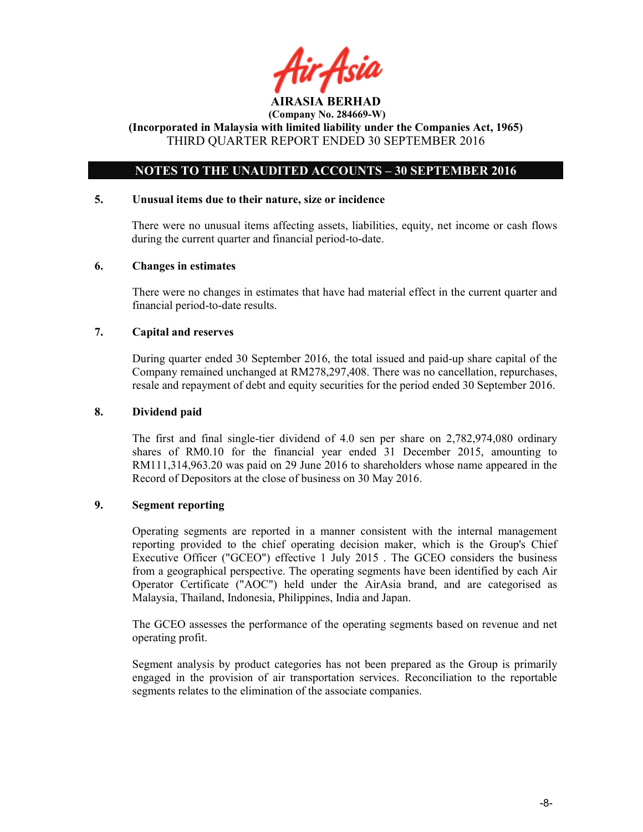ir Asii AIRASIA BERHAD

(Incorporated in Malaysia with limited liability under the Companies Act, 1965) THIRD QUARTER REPORT ENDED 30 SEPTEMBER 2016

### NOTES TO THE UNAUDITED ACCOUNTS – 30 SEPTEMBER 2016

### 5. Unusual items due to their nature, size or incidence

There were no unusual items affecting assets, liabilities, equity, net income or cash flows during the current quarter and financial period-to-date.

### 6. Changes in estimates

There were no changes in estimates that have had material effect in the current quarter and financial period-to-date results.

### 7. Capital and reserves

During quarter ended 30 September 2016, the total issued and paid-up share capital of the Company remained unchanged at RM278,297,408. There was no cancellation, repurchases, resale and repayment of debt and equity securities for the period ended 30 September 2016.

### 8. Dividend paid

The first and final single-tier dividend of 4.0 sen per share on 2,782,974,080 ordinary shares of RM0.10 for the financial year ended 31 December 2015, amounting to RM111,314,963.20 was paid on 29 June 2016 to shareholders whose name appeared in the Record of Depositors at the close of business on 30 May 2016.

### 9. Segment reporting

Operating segments are reported in a manner consistent with the internal management reporting provided to the chief operating decision maker, which is the Group's Chief Executive Officer ("GCEO") effective 1 July 2015 . The GCEO considers the business from a geographical perspective. The operating segments have been identified by each Air Operator Certificate ("AOC") held under the AirAsia brand, and are categorised as Malaysia, Thailand, Indonesia, Philippines, India and Japan.

The GCEO assesses the performance of the operating segments based on revenue and net operating profit.

Segment analysis by product categories has not been prepared as the Group is primarily engaged in the provision of air transportation services. Reconciliation to the reportable segments relates to the elimination of the associate companies.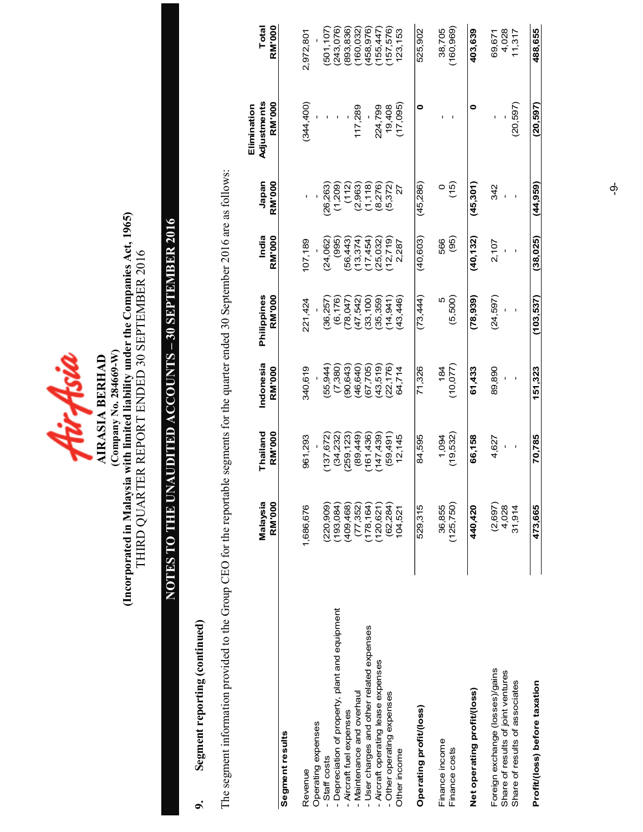

## (Company No. 284669-W)<br>(Incorporated in Malaysia with limited liability under the Companies Act, 1965)<br>THIRD QUARTER REPORT ENDED 30 SEPTEMBER 2016 (Incorporated in Malaysia with limited liability under the Companies Act, 1965) THIRD QUARTER REPORT ENDED 30 SEPTEMBER 2016 (Company No. 284669-W)

## NOTES TO THE UNAUDITED ACCOUNTS - 30 SEPTEMBER 2016 NOTES TO THE UNAUDITED ACCOUNTS – 30 SEPTEMBER 2016

### 9. Segment reporting (continued) Segment reporting (continued)  $\sigma$

The segment information provided to the Group CEO for the reportable segments for the quarter ended 30 September 2016 are as follows: The segment information provided to the Group CEO for the reportable segments for the quarter ended 30 September 2016 are as follows:

|                                                                       | Malaysia<br><b>RM'000</b> | Thailand<br><b>RM'000</b> | Indonesia<br>RM'000 | Philippines<br>RM'000 | India<br>RM'000  | <b>RM'000</b><br>Japan | Adjustments<br><b>RM'000</b><br>Elimination | RM'000<br>Total          |
|-----------------------------------------------------------------------|---------------------------|---------------------------|---------------------|-----------------------|------------------|------------------------|---------------------------------------------|--------------------------|
| Segment results                                                       |                           |                           |                     |                       |                  |                        |                                             |                          |
| Operating expenses<br>Revenue                                         | 1,686,676                 | 961,293                   | 340,619             | 221,424               | 107,189          |                        | (344, 400)                                  | 2,972,801                |
| Staff costs                                                           | (220, 909)                | 137,672                   | (55, 944)           | 36,257                | (24,062)         | 26,263                 |                                             | (501, 107)               |
| - Depreciation of property, plant and equipment                       | (193,084)                 | (34,232)                  | (7,380)             | (6, 176)              | (995)            | (1,209)                |                                             | (243,076)                |
| Aircraft fuel expenses                                                | (409,468)                 | 259,123)                  | (90, 643)           | 78,047                | 56,443           | (112)                  |                                             | 893,836)                 |
| - User charges and other related expenses<br>Maintenance and overhaul | (178, 164)<br>(77, 352)   | (89,449)<br>161,436)      | 46,640<br>(67, 705) | (47,542)<br>(33, 100) | 13,374<br>17,454 | (1, 118)<br>(2,963)    | 117,289                                     | (160, 032)<br>(458, 976) |
| - Aircraft operating lease expenses                                   | (120, 621)                | 147,439)                  | (43,519)            | (35, 359)             | 25,032)          | (8, 276)               | 224,799                                     | (155,447)                |
| - Other operating expenses                                            | (62, 284)                 | (59, 491)                 | (22, 176)           | 14,941                | 12,719           | (5, 372)               | 19,408                                      | (157, 576)               |
| Other income                                                          | 104,521                   | 12,145                    | 64,714              | 43,446)               | 2,287            | 27                     | (17,095)                                    | 123, 153                 |
| Operating profit/loss)                                                | 529,315                   | 84,595                    | 71,326              | (73, 444)             | (40,603)         | (45,286)               | 0                                           | 525,902                  |
| Finance income                                                        | 36,855                    | 1,094                     | 184                 | Ю                     | 566              | $\circ$                |                                             | 38,705                   |
| Finance costs                                                         | (125, 750)                | (19,532)                  | (10, 077)           | (5,500)               | (95)             | (15)                   |                                             | (160, 969)               |
| Net operating profit/(loss)                                           | 440,420                   | 66,158                    | 61,433              | (78,939)              | (40,132)         | (45, 301)              | 0                                           | 403,639                  |
| Foreign exchange (losses)/gains<br>Share of results of joint ventures | (2,697)<br>4,028          | 4,627<br>ı                | 89,890              | (24, 597)             | 2,107            | 342                    |                                             | 4,028<br>69,671          |
| Share of results of associates                                        | 31,914                    | ı                         |                     |                       |                  |                        | (20, 597)                                   | 11,317                   |
| Profit/(loss) before taxation                                         | 473.665                   | 70,785                    | 151,323             | (103, 537)            | (38, 025)        | (44, 959)              | (20, 597)                                   | 488,655                  |

 $\phi$ ှ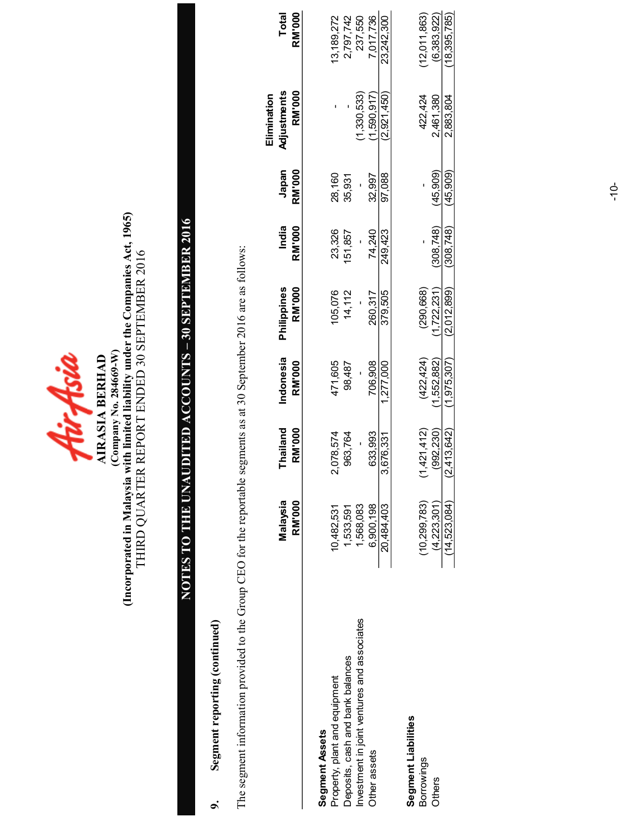fürfisia (Company No. 284669-W) AIRASIA BERHAD **AIRASIA BERHAD** 

(Company No. 284669-W)<br>(Incorporated in Malaysia with limited liability under the Companies Act, 1965)<br>THIRD QUARTER REPORT ENDED 30 SEPTEMBER 2016 (Incorporated in Malaysia with limited liability under the Companies Act, 1965) THIRD QUARTER REPORT ENDED 30 SEPTEMBER 2016

## NOTES TO THE UNAUDITED ACCOUNTS – 30 SEPTEMBER 2016 NOTES TO THE UNAUDITED ACCOUNTS - 30 SEPTEMBER 2016

### 9. Segment reporting (continued) Segment reporting (continued)  $\sigma$

The segment information provided to the Group CEO for the reportable segments as at 30 September 2016 are as follows: The segment information provided to the Group CEO for the reportable segments as at 30 September 2016 are as follows:

|                                             | Malaysia<br>RM'000 | Thailand<br><b>RM'000</b> | Indonesia<br>RM'000 | Philippines<br><b>RM'000</b> | India<br><b>RM'000</b> | Japan<br><b>RM'000</b> | Adjustments<br>RM'000<br>Elimination | Total<br><b>RM'000</b> |
|---------------------------------------------|--------------------|---------------------------|---------------------|------------------------------|------------------------|------------------------|--------------------------------------|------------------------|
| Segment Assets                              |                    |                           |                     |                              |                        |                        |                                      |                        |
| Property, plant and equipment               | 10,482,531         | 2,078,574                 | 471,605             | 105,076                      | 23,326                 | 28,160                 |                                      | 13, 189, 272           |
| Deposits, cash and bank balances            | 1,533,591          | 963,764                   | 98,487              | 14,112                       | 151,857                | 35,931                 |                                      | 2,797,742              |
| Investment in joint ventures and associates | 1,568,083          |                           |                     |                              |                        |                        | (1,330,533)                          | 237,550                |
| Other assets                                | 6,900,198          | 633.993                   | 706.908             | 260,317                      | 74.240                 | 32.997                 | 1,590.917                            | 7.017.736              |
|                                             | 20,484,403         | 3,676,331                 | 1,277,000           | 379,505                      | 249,423                | 97,088                 | (2.921,450)                          | 23,242,300             |
| Segment Liabilities                         |                    |                           |                     |                              |                        |                        |                                      |                        |
| <b>Borrowings</b>                           | (10, 299, 783)     | (1,421,412)               | (422,424)           | (290,668)                    |                        |                        | 422,424                              | (12,011,863)           |
| Others                                      | (4, 223, 301)      | (992,230)                 | .552,882)           | 1,722,231                    | 308.748)               | 45,909                 | 2,461,380                            | (6,383,922)            |
|                                             | (14, 523, 084)     | (2, 413, 642)             | (1.975, 307)        | (2,012,899)                  | (308, 748)             | (45, 909)              | 2,883,804                            | (18.395, 785)          |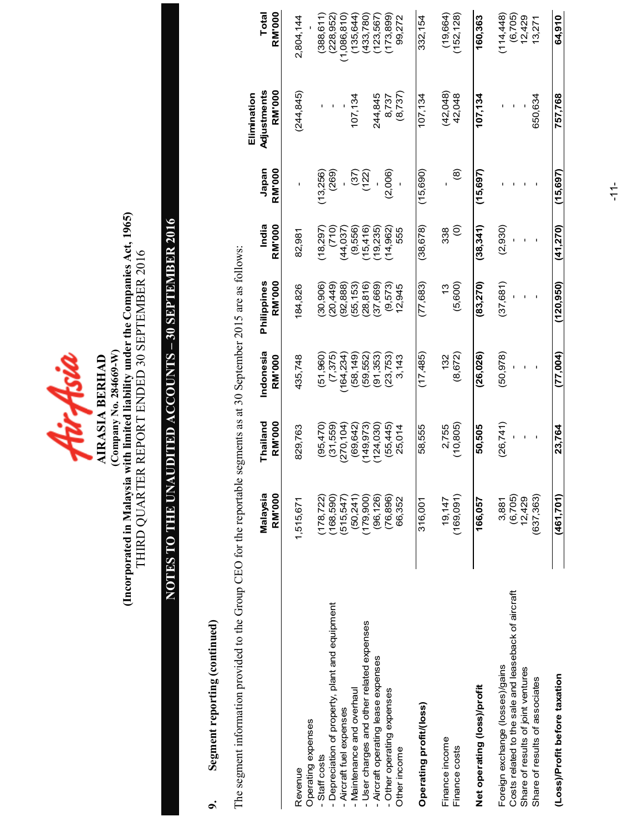

## (Company No. 284669-W)<br>(Incorporated in Malaysia with limited liability under the Companies Act, 1965)<br>THIRD QUARTER REPORT ENDED 30 SEPTEMBER 2016 (Incorporated in Malaysia with limited liability under the Companies Act, 1965) THIRD QUARTER REPORT ENDED 30 SEPTEMBER 2016 (Company No. 284669-W)

## NOTES TO THE UNAUDITED ACCOUNTS - 30 SEPTEMBER 2016 NOTES TO THE UNAUDITED ACCOUNTS – 30 SEPTEMBER 2016

### Segment reporting (continued) 9. Segment reporting (continued)  $\sigma$

The segment information provided to the Group CEO for the reportable segments as at 30 September 2015 are as follows: The segment information provided to the Group CEO for the reportable segments as at 30 September 2015 are as follows:

|                                                     | Malaysia   | Thailand      | Indonesia     | Philippines   | India             | Japan         | Adjustments<br>Elimination | Total         |
|-----------------------------------------------------|------------|---------------|---------------|---------------|-------------------|---------------|----------------------------|---------------|
|                                                     | RM'000     | <b>RM'000</b> | <b>RM'000</b> | <b>RM'000</b> | <b>RM'000</b>     | <b>RM'000</b> | <b>RM'000</b>              | <b>RM'000</b> |
| Revenue                                             | 1,515,671  | 829,763       | 435,748       | 184,826       | 82,981            |               | (244, 845)                 | 2,804,144     |
| Operating expenses                                  |            |               |               |               |                   |               |                            |               |
| Staff costs                                         | (178,722)  | (95, 470)     | (51,960)      | (30, 906)     | (18, 297)         | (13,256)      |                            | (388, 611)    |
| Depreciation of property, plant and equipment       | (168, 590) | (31,559)      | (7,375)       | (20, 449)     | 710)              | (269)         |                            | (228, 952)    |
| - Aircraft fuel expenses                            | (515,547)  | (270, 104)    | 164,234       | (92, 888)     | (44, 037)         |               |                            | (1,086,810)   |
| - Maintenance and overhaul                          | (50, 241)  | (69, 642)     | (58, 149)     | (55, 153)     | (9,556)           | (37)          | 107,134                    | 135,644)      |
| - User charges and other related expenses           | (179, 900) | 149,973       | (59, 552)     | (28, 816)     | 15,416            | (122)         |                            | (433, 780)    |
| - Aircraft operating lease expenses                 | (96, 126)  | (124, 030)    | (91, 353)     | (37,669)      | 19,235            |               | 244,845                    | (123, 567)    |
| - Other operating expenses                          | (76, 896)  | (55, 445)     | (23, 753)     | (9,573)       | 14,962)           | (2,006)       | 8,737                      | (173, 899)    |
| Other income                                        | 66,352     | 25,014        | 3,143         | 12,945        | 555               |               | (8,737)                    | 99,272        |
| Operating profit/(loss)                             | 316,001    | 58,555        | (17, 485)     | (77,683)      | (38, 678)         | (15, 690)     | 107,134                    | 332,154       |
| Finance income                                      | 19,147     | 2,755         | 132           | 13            | 338               |               | (42,048)                   | (19,664)      |
| Finance costs                                       | (169,091)  | (10, 805)     | (8,672)       | (5,600)       | $\widehat{\circ}$ | ම             | 42,048                     | (152, 128)    |
| Net operating (loss)/profit                         | 166,057    | 50,505        | (26, 026)     | (83, 270)     | (38, 341)         | (15, 697)     | 107,134                    | 160,363       |
| Foreign exchange (losses)/gains                     | 3,881      | (26, 741)     | (50, 978)     | (37, 681)     | (2,930)           |               |                            | (114, 448)    |
| Costs related to the sale and leaseback of aircraft | (6,705)    |               |               |               |                   |               |                            | (6,705)       |
| Share of results of joint ventures                  | 12,429     |               |               |               |                   |               |                            | 12,429        |
| Share of results of associates                      | (637, 363) |               |               |               |                   |               | 650,634                    | 13,271        |
| (Loss)/Profit before taxation                       | (461, 701) | 23,764        | (77.004)      | (120.950)     | (41.270)          | (15.697)      | 757.768                    | 64.910        |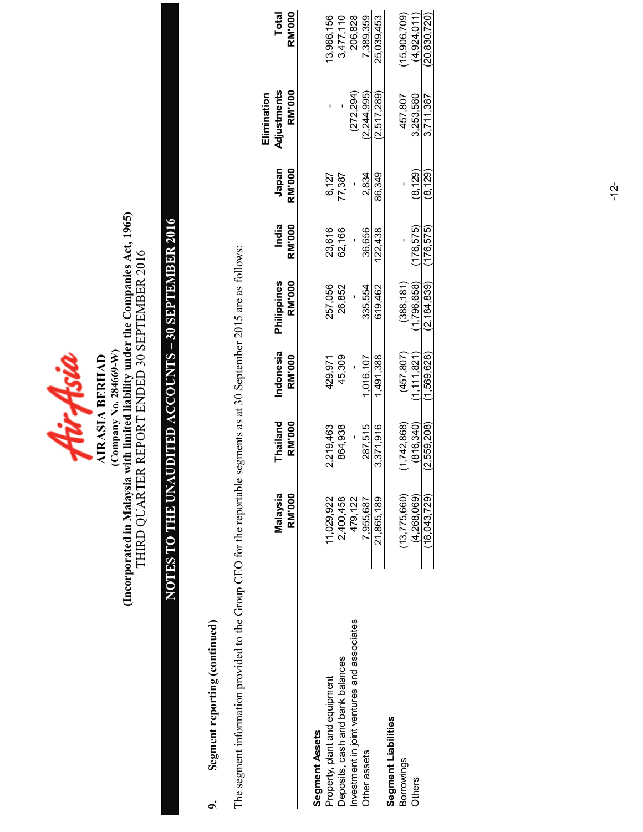

## (Company No. 284669-W)<br>(Incorporated in Malaysia with limited liability under the Companies Act, 1965)<br>THIRD QUARTER REPORT ENDED 30 SEPTEMBER 2016 (Incorporated in Malaysia with limited liability under the Companies Act, 1965) THIRD QUARTER REPORT ENDED 30 SEPTEMBER 2016 (Company No. 284669-W)

## NOTES TO THE UNAUDITED ACCOUNTS - 30 SEPTEMBER 2016 NOTES TO THE UNAUDITED ACCOUNTS – 30 SEPTEMBER 2016

### Segment reporting (continued) 9. Segment reporting (continued)  $\sigma$

The segment information provided to the Group CEO for the reportable segments as at 30 September 2015 are as follows: The segment information provided to the Group CEO for the reportable segments as at 30 September 2015 are as follows:

|                                             |                |             |             |               |               |         | Elimination  |                |
|---------------------------------------------|----------------|-------------|-------------|---------------|---------------|---------|--------------|----------------|
|                                             | Malaysia       | Thailand    | Indonesia   | Philippines   | India         | Japan   | Adjustments  | Total          |
|                                             | <b>RM'000</b>  | RM'000      | RM'000      | <b>RM'000</b> | <b>RM'000</b> | RM'000  | RM'000       | <b>RM'000</b>  |
|                                             |                |             |             |               |               |         |              |                |
| Segment Assets                              |                |             |             |               |               |         |              |                |
| Property, plant and equipment               | 11,029,922     | 2,219,463   | 429,971     | 257,056       | 23,616        | 6,127   |              | 13,966,156     |
| Deposits, cash and bank balances            | 2,400,458      | 864,938     | 45,309      | 26,852        | 62,166        | 7,387   |              | 3,477,110      |
| Investment in joint ventures and associates | 479,122        |             |             |               |               |         | (272,294)    | 206,828        |
| Other assets                                | 7,955,687      | 287,515     | 1,016,107   | 335,554       | 36,656        | 2,834   | (2.244.995)  | 7,389,359      |
|                                             | 21,865,189     | 3.371.916   | 1,491.388   | 619.462       | 122.438       | 86.349  | (2.517, 289) | 25.039.453     |
| Segment Liabilities                         |                |             |             |               |               |         |              |                |
| <b>Borrowings</b>                           | (13, 775, 660) | 1,742,868)  | (457, 807)  | (388, 181)    |               |         | 457,807      | 15,906,709)    |
| <b>Others</b>                               | (4.268.069)    | (816.340)   | (1.111.821) | 1,796,658)    | 176.575)      | (8.129) | 3,253,580    | (4.924.011)    |
|                                             | (18,043,729)   | (2.559.208) | (1.569.628) | (2, 184, 839) | (176.575)     | (8.129) | 3.711.387    | (20, 830, 720) |
|                                             |                |             |             |               |               |         |              |                |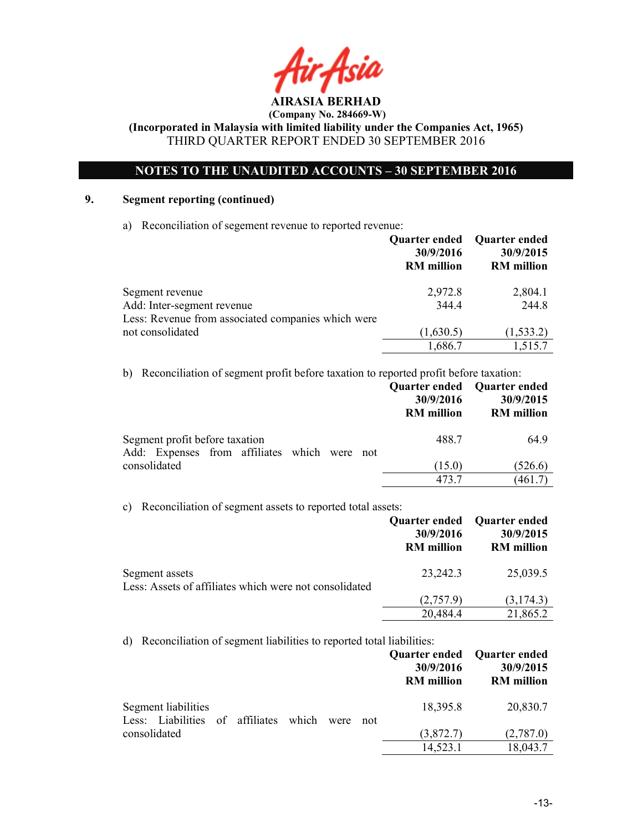

 (Company No. 284669-W) (Incorporated in Malaysia with limited liability under the Companies Act, 1965)

THIRD QUARTER REPORT ENDED 30 SEPTEMBER 2016

### NOTES TO THE UNAUDITED ACCOUNTS – 30 SEPTEMBER 2016

### 9. Segment reporting (continued)

a) Reconciliation of segement revenue to reported revenue:

|                                                    | Quarter ended Quarter ended<br>30/9/2016<br><b>RM</b> million | 30/9/2015<br><b>RM</b> million |
|----------------------------------------------------|---------------------------------------------------------------|--------------------------------|
| Segment revenue                                    | 2,972.8                                                       | 2,804.1                        |
| Add: Inter-segment revenue                         | 344.4                                                         | 244.8                          |
| Less: Revenue from associated companies which were |                                                               |                                |
| not consolidated                                   | (1,630.5)                                                     | (1, 533.2)                     |
|                                                    | 1,686.7                                                       | 1,515.7                        |

b) Reconciliation of segment profit before taxation to reported profit before taxation:

|                                              | 30/9/2016<br><b>RM</b> million | Quarter ended Quarter ended<br>30/9/2015<br><b>RM</b> million |
|----------------------------------------------|--------------------------------|---------------------------------------------------------------|
| Segment profit before taxation               | 488.7                          | 64.9                                                          |
| Add: Expenses from affiliates which were not |                                |                                                               |
| consolidated                                 | (15.0)                         | (526.6)                                                       |
|                                              | 473.7                          | (461.7)                                                       |

c) Reconciliation of segment assets to reported total assets:

|                                                                          | Quarter ended<br>30/9/2016<br><b>RM</b> million | <b>Quarter ended</b><br>30/9/2015<br><b>RM</b> million |
|--------------------------------------------------------------------------|-------------------------------------------------|--------------------------------------------------------|
| Segment assets<br>Less: Assets of affiliates which were not consolidated | 23,242.3                                        | 25,039.5                                               |
|                                                                          | (2,757.9)                                       | (3,174.3)                                              |
|                                                                          | 20,484.4                                        | 21,865.2                                               |

d) Reconciliation of segment liabilities to reported total liabilities:

|                                                              |  |      |     | 30/9/2016<br><b>RM</b> million | Quarter ended Quarter ended<br>30/9/2015<br><b>RM</b> million |
|--------------------------------------------------------------|--|------|-----|--------------------------------|---------------------------------------------------------------|
| Segment liabilities<br>Less: Liabilities of affiliates which |  | were | not | 18,395.8                       | 20,830.7                                                      |
| consolidated                                                 |  |      |     | (3,872.7)                      | (2,787.0)                                                     |
|                                                              |  |      |     | 14,523.1                       | 18,043.7                                                      |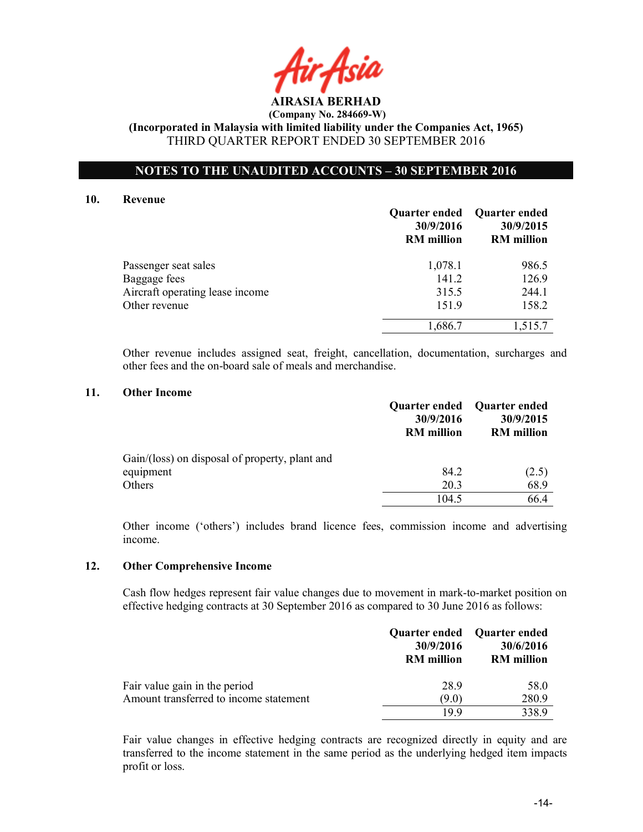

### NOTES TO THE UNAUDITED ACCOUNTS – 30 SEPTEMBER 2016

### 10. Revenue

|                                 | 30/9/2016<br><b>RM</b> million | Quarter ended Quarter ended<br>30/9/2015<br><b>RM</b> million |
|---------------------------------|--------------------------------|---------------------------------------------------------------|
| Passenger seat sales            | 1,078.1                        | 986.5                                                         |
| Baggage fees                    | 141.2                          | 126.9                                                         |
| Aircraft operating lease income | 315.5                          | 244.1                                                         |
| Other revenue                   | 151.9                          | 158.2                                                         |
|                                 | 1,686.7                        | 1,515.7                                                       |

Other revenue includes assigned seat, freight, cancellation, documentation, surcharges and other fees and the on-board sale of meals and merchandise.

### 11. Other Income

|                                                | Quarter ended<br>30/9/2016<br><b>RM</b> million | <b>Quarter ended</b><br>30/9/2015<br><b>RM</b> million |
|------------------------------------------------|-------------------------------------------------|--------------------------------------------------------|
| Gain/(loss) on disposal of property, plant and |                                                 |                                                        |
| equipment                                      | 84.2                                            | (2.5)                                                  |
| Others                                         | 20.3                                            | 68.9                                                   |
|                                                | 104.5                                           | 66.4                                                   |

Other income ('others') includes brand licence fees, commission income and advertising income.

### 12. Other Comprehensive Income

Cash flow hedges represent fair value changes due to movement in mark-to-market position on effective hedging contracts at 30 September 2016 as compared to 30 June 2016 as follows:

|                                        | 30/9/2016<br><b>RM</b> million | Quarter ended Quarter ended<br>30/6/2016<br><b>RM</b> million |
|----------------------------------------|--------------------------------|---------------------------------------------------------------|
| Fair value gain in the period          | 289                            | 58.0                                                          |
| Amount transferred to income statement | (9.0)                          | 280.9                                                         |
|                                        | 199                            | 338.9                                                         |

Fair value changes in effective hedging contracts are recognized directly in equity and are transferred to the income statement in the same period as the underlying hedged item impacts profit or loss.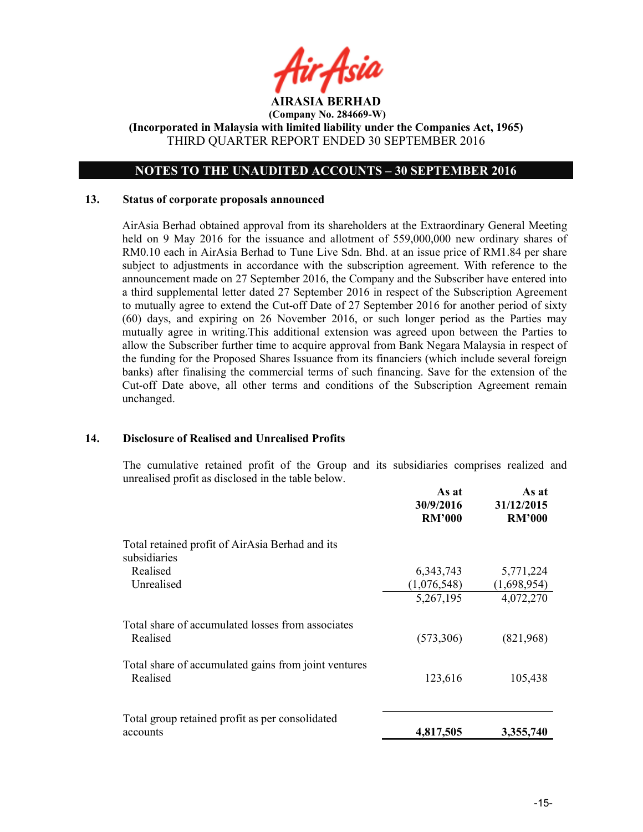

### NOTES TO THE UNAUDITED ACCOUNTS – 30 SEPTEMBER 2016

### 13. Status of corporate proposals announced

AirAsia Berhad obtained approval from its shareholders at the Extraordinary General Meeting held on 9 May 2016 for the issuance and allotment of 559,000,000 new ordinary shares of RM0.10 each in AirAsia Berhad to Tune Live Sdn. Bhd. at an issue price of RM1.84 per share subject to adjustments in accordance with the subscription agreement. With reference to the announcement made on 27 September 2016, the Company and the Subscriber have entered into a third supplemental letter dated 27 September 2016 in respect of the Subscription Agreement to mutually agree to extend the Cut-off Date of 27 September 2016 for another period of sixty (60) days, and expiring on 26 November 2016, or such longer period as the Parties may mutually agree in writing.This additional extension was agreed upon between the Parties to allow the Subscriber further time to acquire approval from Bank Negara Malaysia in respect of the funding for the Proposed Shares Issuance from its financiers (which include several foreign banks) after finalising the commercial terms of such financing. Save for the extension of the Cut-off Date above, all other terms and conditions of the Subscription Agreement remain unchanged.

### 14. Disclosure of Realised and Unrealised Profits

The cumulative retained profit of the Group and its subsidiaries comprises realized and unrealised profit as disclosed in the table below.

|                                                                  | As at<br>30/9/2016<br><b>RM'000</b> | As at<br>31/12/2015<br><b>RM'000</b> |
|------------------------------------------------------------------|-------------------------------------|--------------------------------------|
| Total retained profit of AirAsia Berhad and its                  |                                     |                                      |
| subsidiaries<br>Realised                                         | 6, 343, 743                         | 5,771,224                            |
| Unrealised                                                       | (1,076,548)                         | (1,698,954)                          |
|                                                                  | 5,267,195                           | 4,072,270                            |
| Total share of accumulated losses from associates<br>Realised    | (573,306)                           | (821,968)                            |
| Total share of accumulated gains from joint ventures<br>Realised | 123,616                             | 105,438                              |
| Total group retained profit as per consolidated<br>accounts      | 4,817,505                           | 3,355,740                            |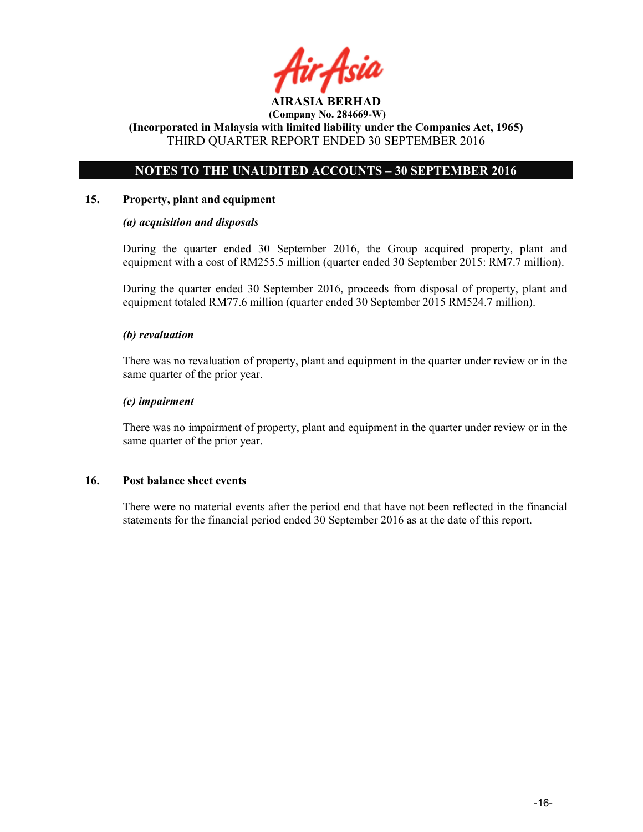

(Incorporated in Malaysia with limited liability under the Companies Act, 1965) THIRD QUARTER REPORT ENDED 30 SEPTEMBER 2016

### NOTES TO THE UNAUDITED ACCOUNTS – 30 SEPTEMBER 2016

### 15. Property, plant and equipment

### (a) acquisition and disposals

During the quarter ended 30 September 2016, the Group acquired property, plant and equipment with a cost of RM255.5 million (quarter ended 30 September 2015: RM7.7 million).

During the quarter ended 30 September 2016, proceeds from disposal of property, plant and equipment totaled RM77.6 million (quarter ended 30 September 2015 RM524.7 million).

### (b) revaluation

There was no revaluation of property, plant and equipment in the quarter under review or in the same quarter of the prior year.

### (c) impairment

There was no impairment of property, plant and equipment in the quarter under review or in the same quarter of the prior year.

### 16. Post balance sheet events

There were no material events after the period end that have not been reflected in the financial statements for the financial period ended 30 September 2016 as at the date of this report.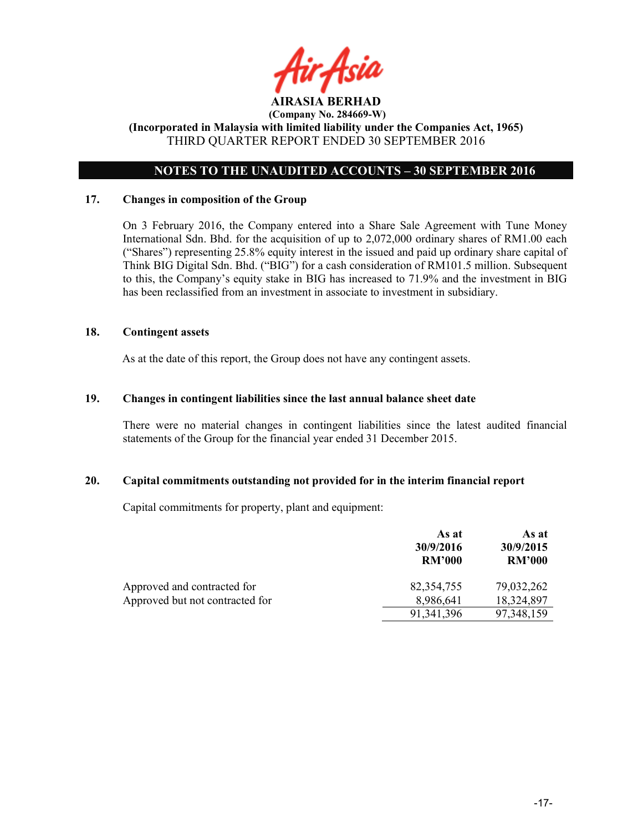

### NOTES TO THE UNAUDITED ACCOUNTS – 30 SEPTEMBER 2016

### 17. Changes in composition of the Group

On 3 February 2016, the Company entered into a Share Sale Agreement with Tune Money International Sdn. Bhd. for the acquisition of up to 2,072,000 ordinary shares of RM1.00 each ("Shares") representing 25.8% equity interest in the issued and paid up ordinary share capital of Think BIG Digital Sdn. Bhd. ("BIG") for a cash consideration of RM101.5 million. Subsequent to this, the Company's equity stake in BIG has increased to 71.9% and the investment in BIG has been reclassified from an investment in associate to investment in subsidiary.

### 18. Contingent assets

As at the date of this report, the Group does not have any contingent assets.

### 19. Changes in contingent liabilities since the last annual balance sheet date

There were no material changes in contingent liabilities since the latest audited financial statements of the Group for the financial year ended 31 December 2015.

### 20. Capital commitments outstanding not provided for in the interim financial report

Capital commitments for property, plant and equipment:

|                                 | As at<br>30/9/2016<br><b>RM'000</b> | As at<br>30/9/2015<br><b>RM'000</b> |
|---------------------------------|-------------------------------------|-------------------------------------|
| Approved and contracted for     | 82,354,755                          | 79,032,262                          |
| Approved but not contracted for | 8,986,641                           | 18,324,897                          |
|                                 | 91, 341, 396                        | 97,348,159                          |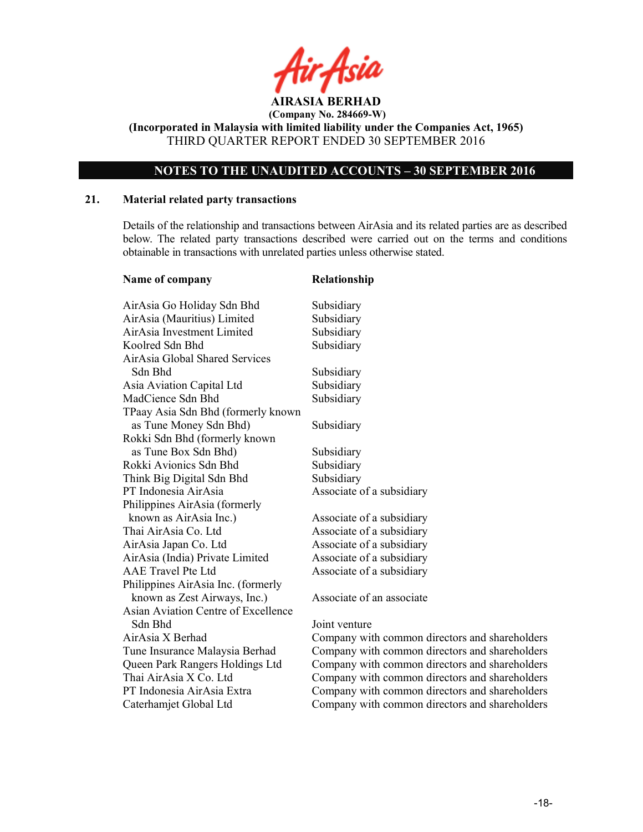![](_page_17_Picture_0.jpeg)

(Incorporated in Malaysia with limited liability under the Companies Act, 1965) THIRD QUARTER REPORT ENDED 30 SEPTEMBER 2016

### NOTES TO THE UNAUDITED ACCOUNTS – 30 SEPTEMBER 2016

### 21. Material related party transactions

Details of the relationship and transactions between AirAsia and its related parties are as described below. The related party transactions described were carried out on the terms and conditions obtainable in transactions with unrelated parties unless otherwise stated.

| Name of company                     | Relationship   |
|-------------------------------------|----------------|
| AirAsia Go Holiday Sdn Bhd          | Subsidiary     |
| AirAsia (Mauritius) Limited         | Subsidiary     |
| AirAsia Investment Limited          | Subsidiary     |
| Koolred Sdn Bhd                     | Subsidiary     |
| AirAsia Global Shared Services      |                |
| Sdn Bhd                             | Subsidiary     |
| Asia Aviation Capital Ltd           | Subsidiary     |
| MadCience Sdn Bhd                   | Subsidiary     |
| TPaay Asia Sdn Bhd (formerly known  |                |
| as Tune Money Sdn Bhd)              | Subsidiary     |
| Rokki Sdn Bhd (formerly known       |                |
| as Tune Box Sdn Bhd)                | Subsidiary     |
| Rokki Avionics Sdn Bhd              | Subsidiary     |
| Think Big Digital Sdn Bhd           | Subsidiary     |
| PT Indonesia AirAsia                | Associate of a |
| Philippines AirAsia (formerly       |                |
| known as AirAsia Inc.)              | Associate of a |
| Thai AirAsia Co. Ltd                | Associate of a |
| AirAsia Japan Co. Ltd               | Associate of a |
| AirAsia (India) Private Limited     | Associate of a |
| AAE Travel Pte Ltd                  | Associate of a |
| Philippines AirAsia Inc. (formerly  |                |
| known as Zest Airways, Inc.)        | Associate of a |
| Asian Aviation Centre of Excellence |                |
| Sdn Bhd                             | Joint venture  |
| AirAsia X Berhad                    | Company with   |
| Tune Insurance Malaysia Berhad      | Company with   |
| Queen Park Rangers Holdings Ltd     | Company with   |
| Thai AirAsia X Co. Ltd              | Company with   |
| PT Indonesia AirAsia Extra          | Company with   |
| Caterhamjet Global Ltd              | Company with   |
|                                     |                |

subsidiary

subsidiary subsidiary subsidiary subsidiary subsidiary

n associate

1 common directors and shareholders n common directors and shareholders n common directors and shareholders n common directors and shareholders n common directors and shareholders n common directors and shareholders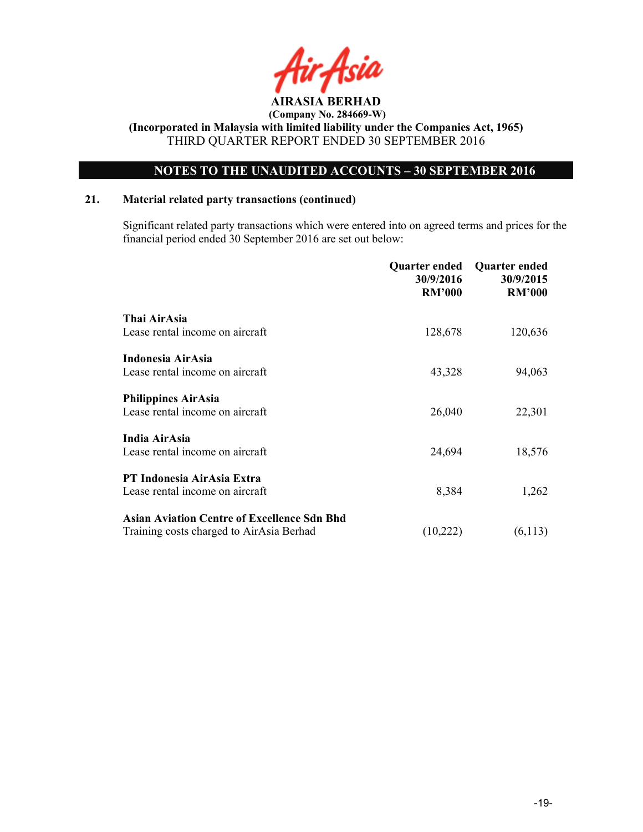![](_page_18_Picture_0.jpeg)

### NOTES TO THE UNAUDITED ACCOUNTS – 30 SEPTEMBER 2016

### 21. Material related party transactions (continued)

 Significant related party transactions which were entered into on agreed terms and prices for the financial period ended 30 September 2016 are set out below:

|                                                    | <b>Quarter ended</b><br>30/9/2016<br><b>RM'000</b> | <b>Quarter ended</b><br>30/9/2015<br><b>RM'000</b> |
|----------------------------------------------------|----------------------------------------------------|----------------------------------------------------|
| Thai AirAsia                                       |                                                    |                                                    |
| Lease rental income on aircraft                    | 128,678                                            | 120,636                                            |
| Indonesia AirAsia                                  |                                                    |                                                    |
| Lease rental income on aircraft                    | 43,328                                             | 94,063                                             |
| <b>Philippines AirAsia</b>                         |                                                    |                                                    |
| Lease rental income on aircraft                    | 26,040                                             | 22,301                                             |
| India AirAsia                                      |                                                    |                                                    |
| Lease rental income on aircraft                    | 24,694                                             | 18,576                                             |
| PT Indonesia AirAsia Extra                         |                                                    |                                                    |
| Lease rental income on aircraft                    | 8,384                                              | 1,262                                              |
| <b>Asian Aviation Centre of Excellence Sdn Bhd</b> |                                                    |                                                    |
| Training costs charged to AirAsia Berhad           | (10,222)                                           | (6,113)                                            |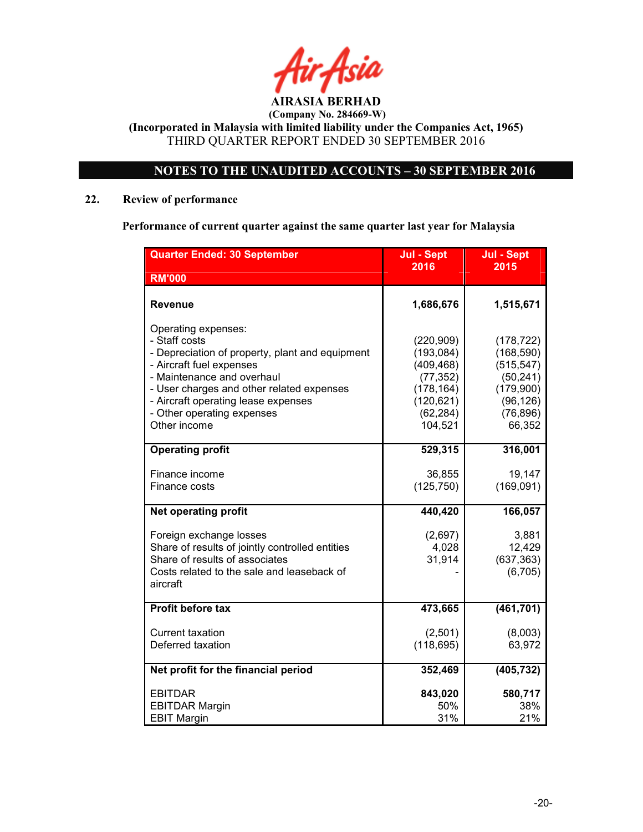![](_page_19_Picture_0.jpeg)

 (Company No. 284669-W) (Incorporated in Malaysia with limited liability under the Companies Act, 1965)

THIRD QUARTER REPORT ENDED 30 SEPTEMBER 2016

### NOTES TO THE UNAUDITED ACCOUNTS – 30 SEPTEMBER 2016

### 22. Review of performance

Performance of current quarter against the same quarter last year for Malaysia

| <b>Quarter Ended: 30 September</b>                                                                                                                                                                                                                                                  | Jul - Sept                                                                                              | Jul - Sept                                                                                           |
|-------------------------------------------------------------------------------------------------------------------------------------------------------------------------------------------------------------------------------------------------------------------------------------|---------------------------------------------------------------------------------------------------------|------------------------------------------------------------------------------------------------------|
| <b>RM'000</b>                                                                                                                                                                                                                                                                       | 2016                                                                                                    | 2015                                                                                                 |
| <b>Revenue</b>                                                                                                                                                                                                                                                                      | 1,686,676                                                                                               | 1,515,671                                                                                            |
| Operating expenses:<br>- Staff costs<br>- Depreciation of property, plant and equipment<br>- Aircraft fuel expenses<br>- Maintenance and overhaul<br>- User charges and other related expenses<br>- Aircraft operating lease expenses<br>- Other operating expenses<br>Other income | (220, 909)<br>(193, 084)<br>(409, 468)<br>(77, 352)<br>(178, 164)<br>(120, 621)<br>(62, 284)<br>104,521 | (178, 722)<br>(168, 590)<br>(515, 547)<br>(50, 241)<br>(179,900)<br>(96, 126)<br>(76, 896)<br>66,352 |
| <b>Operating profit</b>                                                                                                                                                                                                                                                             | 529,315                                                                                                 | 316,001                                                                                              |
| Finance income<br>Finance costs                                                                                                                                                                                                                                                     | 36,855<br>(125, 750)                                                                                    | 19,147<br>(169, 091)                                                                                 |
| <b>Net operating profit</b>                                                                                                                                                                                                                                                         | 440,420                                                                                                 | 166,057                                                                                              |
| Foreign exchange losses<br>Share of results of jointly controlled entities<br>Share of results of associates<br>Costs related to the sale and leaseback of<br>aircraft                                                                                                              | (2,697)<br>4,028<br>31,914                                                                              | 3,881<br>12,429<br>(637, 363)<br>(6, 705)                                                            |
| <b>Profit before tax</b>                                                                                                                                                                                                                                                            | 473,665                                                                                                 | (461, 701)                                                                                           |
| <b>Current taxation</b><br>Deferred taxation                                                                                                                                                                                                                                        | (2,501)<br>(118, 695)                                                                                   | (8,003)<br>63,972                                                                                    |
| Net profit for the financial period                                                                                                                                                                                                                                                 | 352,469                                                                                                 | (405, 732)                                                                                           |
| <b>EBITDAR</b><br><b>EBITDAR Margin</b><br><b>EBIT Margin</b>                                                                                                                                                                                                                       | 843,020<br>50%<br>31%                                                                                   | 580,717<br>38%<br>21%                                                                                |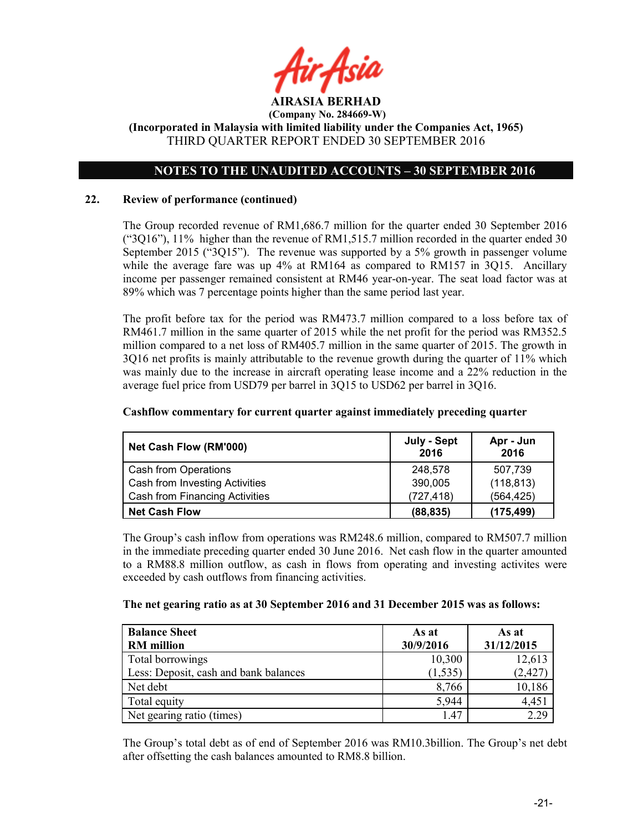![](_page_20_Picture_0.jpeg)

### NOTES TO THE UNAUDITED ACCOUNTS – 30 SEPTEMBER 2016

### 22. Review of performance (continued)

The Group recorded revenue of RM1,686.7 million for the quarter ended 30 September 2016 ("3Q16"), 11% higher than the revenue of RM1,515.7 million recorded in the quarter ended 30 September 2015 ("3Q15"). The revenue was supported by a 5% growth in passenger volume while the average fare was up 4% at RM164 as compared to RM157 in 3Q15. Ancillary income per passenger remained consistent at RM46 year-on-year. The seat load factor was at 89% which was 7 percentage points higher than the same period last year.

The profit before tax for the period was RM473.7 million compared to a loss before tax of RM461.7 million in the same quarter of 2015 while the net profit for the period was RM352.5 million compared to a net loss of RM405.7 million in the same quarter of 2015. The growth in 3Q16 net profits is mainly attributable to the revenue growth during the quarter of 11% which was mainly due to the increase in aircraft operating lease income and a 22% reduction in the average fuel price from USD79 per barrel in 3Q15 to USD62 per barrel in 3Q16.

| Net Cash Flow (RM'000)                | July - Sept<br>2016 | Apr - Jun<br>2016 |
|---------------------------------------|---------------------|-------------------|
| Cash from Operations                  | 248.578             | 507.739           |
| Cash from Investing Activities        | 390,005             | (118, 813)        |
| <b>Cash from Financing Activities</b> | (727, 418)          | (564, 425)        |
| <b>Net Cash Flow</b>                  | (88, 835)           | (175, 499)        |

### Cashflow commentary for current quarter against immediately preceding quarter

The Group's cash inflow from operations was RM248.6 million, compared to RM507.7 million in the immediate preceding quarter ended 30 June 2016. Net cash flow in the quarter amounted to a RM88.8 million outflow, as cash in flows from operating and investing activites were exceeded by cash outflows from financing activities.

### The net gearing ratio as at 30 September 2016 and 31 December 2015 was as follows:

| <b>Balance Sheet</b>                  | As at     | As at      |
|---------------------------------------|-----------|------------|
| <b>RM</b> million                     | 30/9/2016 | 31/12/2015 |
| Total borrowings                      | 10,300    | 12,613     |
| Less: Deposit, cash and bank balances | (1, 535)  | (2, 427)   |
| Net debt                              | 8,766     | 10,186     |
| Total equity                          | 5,944     | 4,451      |
| Net gearing ratio (times)             | 147       | 2.29       |

The Group's total debt as of end of September 2016 was RM10.3billion. The Group's net debt after offsetting the cash balances amounted to RM8.8 billion.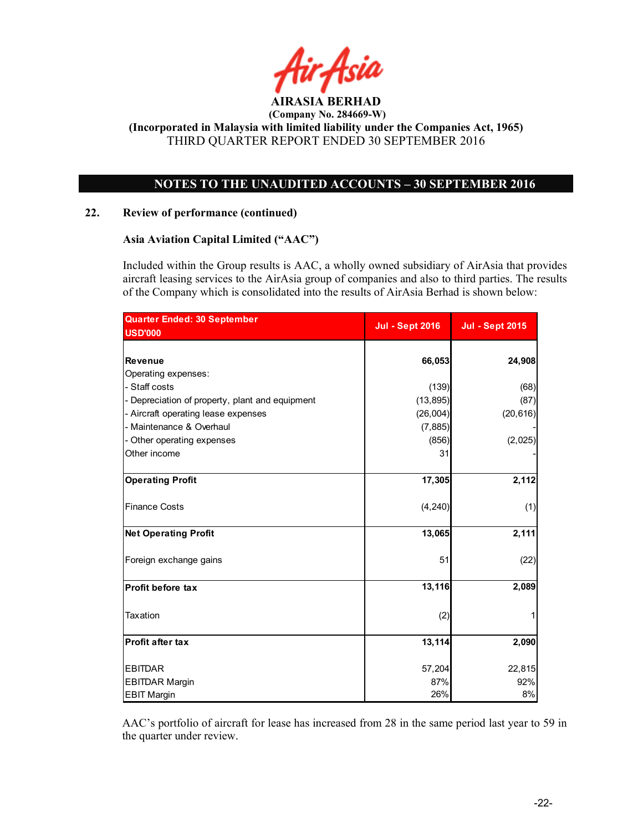![](_page_21_Picture_0.jpeg)

### NOTES TO THE UNAUDITED ACCOUNTS – 30 SEPTEMBER 2016

### 22. Review of performance (continued)

### Asia Aviation Capital Limited ("AAC")

Included within the Group results is AAC, a wholly owned subsidiary of AirAsia that provides aircraft leasing services to the AirAsia group of companies and also to third parties. The results of the Company which is consolidated into the results of AirAsia Berhad is shown below:

| <b>Quarter Ended: 30 September</b>              | <b>Jul - Sept 2016</b> | <b>Jul - Sept 2015</b> |
|-------------------------------------------------|------------------------|------------------------|
| <b>USD'000</b>                                  |                        |                        |
|                                                 |                        |                        |
| <b>Revenue</b>                                  | 66,053                 | 24,908                 |
| Operating expenses:                             |                        |                        |
| - Staff costs                                   | (139)                  | (68)                   |
| - Depreciation of property, plant and equipment | (13, 895)              | (87)                   |
| - Aircraft operating lease expenses             | (26,004)               | (20, 616)              |
| - Maintenance & Overhaul                        | (7, 885)               |                        |
| - Other operating expenses                      | (856)                  | (2,025)                |
| Other income                                    | 31                     |                        |
| <b>Operating Profit</b>                         | 17,305                 | 2,112                  |
| <b>Finance Costs</b>                            | (4, 240)               | (1)                    |
| <b>Net Operating Profit</b>                     | 13,065                 | 2,111                  |
| Foreign exchange gains                          | 51                     | (22)                   |
| Profit before tax                               | 13,116                 | 2,089                  |
| <b>Taxation</b>                                 | (2)                    |                        |
| <b>Profit after tax</b>                         | 13,114                 | 2,090                  |
| <b>EBITDAR</b>                                  | 57,204                 | 22,815                 |
| <b>EBITDAR Margin</b>                           | 87%                    | 92%                    |
| <b>EBIT Margin</b>                              | 26%                    | 8%                     |

AAC's portfolio of aircraft for lease has increased from 28 in the same period last year to 59 in the quarter under review.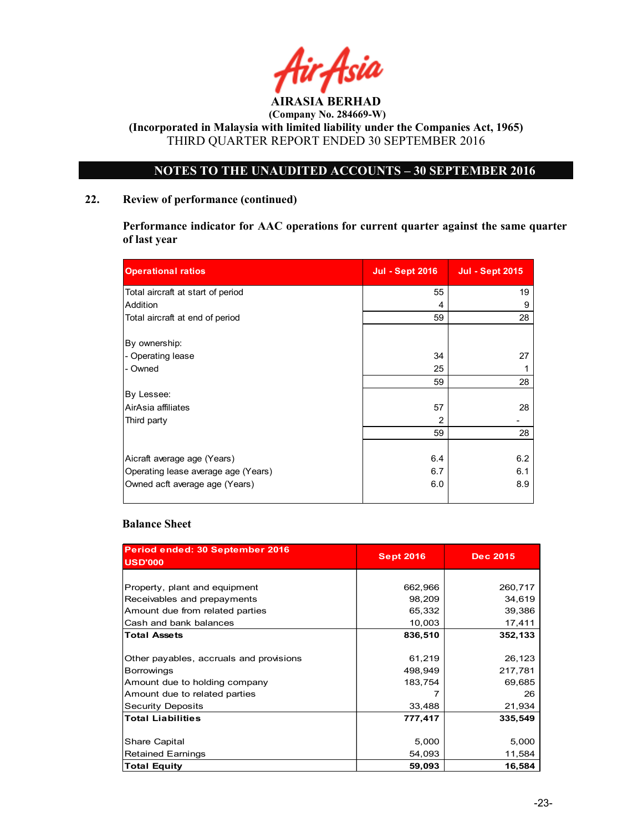![](_page_22_Picture_0.jpeg)

 (Company No. 284669-W) (Incorporated in Malaysia with limited liability under the Companies Act, 1965)

THIRD QUARTER REPORT ENDED 30 SEPTEMBER 2016

### NOTES TO THE UNAUDITED ACCOUNTS – 30 SEPTEMBER 2016

### 22. Review of performance (continued)

Performance indicator for AAC operations for current quarter against the same quarter of last year

| <b>Operational ratios</b>           | <b>Jul - Sept 2016</b> | <b>Jul - Sept 2015</b> |
|-------------------------------------|------------------------|------------------------|
| Total aircraft at start of period   | 55                     | 19                     |
| Addition                            | 4                      | 9                      |
| Total aircraft at end of period     | 59                     | 28                     |
| By ownership:                       |                        |                        |
| - Operating lease                   | 34                     | 27                     |
| - Owned                             | 25                     | 1                      |
|                                     | 59                     | 28                     |
| By Lessee:                          |                        |                        |
| AirAsia affiliates                  | 57                     | 28                     |
| Third party                         | 2                      |                        |
|                                     | 59                     | 28                     |
|                                     |                        |                        |
| Aicraft average age (Years)         | 6.4                    | 6.2                    |
| Operating lease average age (Years) | 6.7                    | 6.1                    |
| Owned acft average age (Years)      | 6.0                    | 8.9                    |

### Balance Sheet

| Period ended: 30 September 2016<br><b>USD'000</b> | <b>Sept 2016</b> | <b>Dec 2015</b> |  |
|---------------------------------------------------|------------------|-----------------|--|
|                                                   |                  |                 |  |
| Property, plant and equipment                     | 662,966          | 260,717         |  |
| Receivables and prepayments                       | 98,209           | 34,619          |  |
| Amount due from related parties                   | 65,332           | 39,386          |  |
| Cash and bank balances                            | 10,003           | 17,411          |  |
| <b>Total Assets</b>                               | 836,510          | 352,133         |  |
|                                                   |                  |                 |  |
| Other payables, accruals and provisions           | 61,219           | 26,123          |  |
| <b>Borrowings</b>                                 | 498,949          | 217,781         |  |
| Amount due to holding company                     | 183,754          | 69,685          |  |
| Amount due to related parties                     |                  | 26              |  |
| <b>Security Deposits</b>                          | 33,488           | 21,934          |  |
| <b>Total Liabilities</b>                          | 777,417          | 335,549         |  |
|                                                   |                  |                 |  |
| Share Capital                                     | 5,000            | 5,000           |  |
| <b>Retained Earnings</b>                          | 54,093           | 11,584          |  |
| <b>Total Equity</b>                               | 59,093           | 16,584          |  |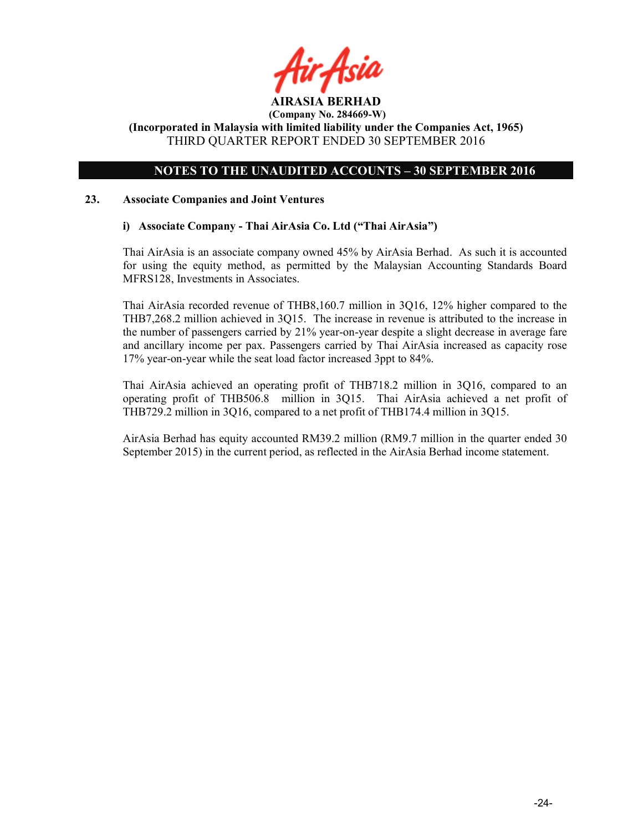![](_page_23_Picture_0.jpeg)

(Incorporated in Malaysia with limited liability under the Companies Act, 1965) THIRD QUARTER REPORT ENDED 30 SEPTEMBER 2016

### NOTES TO THE UNAUDITED ACCOUNTS – 30 SEPTEMBER 2016

### 23. Associate Companies and Joint Ventures

### i) Associate Company - Thai AirAsia Co. Ltd ("Thai AirAsia")

Thai AirAsia is an associate company owned 45% by AirAsia Berhad. As such it is accounted for using the equity method, as permitted by the Malaysian Accounting Standards Board MFRS128, Investments in Associates.

Thai AirAsia recorded revenue of THB8,160.7 million in 3Q16, 12% higher compared to the THB7,268.2 million achieved in 3Q15. The increase in revenue is attributed to the increase in the number of passengers carried by 21% year-on-year despite a slight decrease in average fare and ancillary income per pax. Passengers carried by Thai AirAsia increased as capacity rose 17% year-on-year while the seat load factor increased 3ppt to 84%.

Thai AirAsia achieved an operating profit of THB718.2 million in 3Q16, compared to an operating profit of THB506.8 million in 3Q15. Thai AirAsia achieved a net profit of THB729.2 million in 3Q16, compared to a net profit of THB174.4 million in 3Q15.

AirAsia Berhad has equity accounted RM39.2 million (RM9.7 million in the quarter ended 30 September 2015) in the current period, as reflected in the AirAsia Berhad income statement.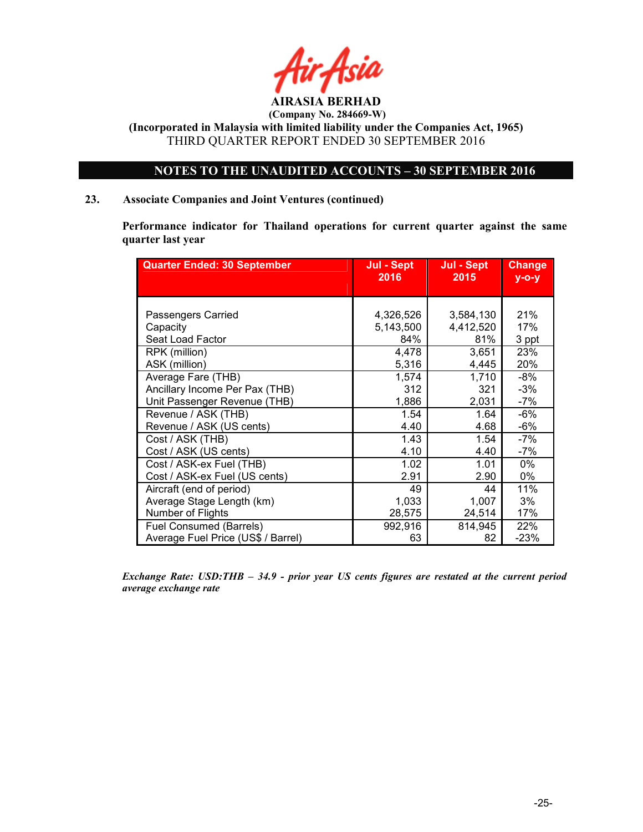![](_page_24_Picture_0.jpeg)

(Incorporated in Malaysia with limited liability under the Companies Act, 1965) THIRD QUARTER REPORT ENDED 30 SEPTEMBER 2016

### NOTES TO THE UNAUDITED ACCOUNTS – 30 SEPTEMBER 2016

### 23. Associate Companies and Joint Ventures (continued)

Performance indicator for Thailand operations for current quarter against the same quarter last year

| <b>Quarter Ended: 30 September</b> | Jul - Sept | Jul - Sept | <b>Change</b> |
|------------------------------------|------------|------------|---------------|
|                                    | 2016       | 2015       | $V - O - V$   |
|                                    |            |            |               |
| Passengers Carried                 | 4,326,526  | 3,584,130  | 21%           |
| Capacity                           | 5,143,500  | 4,412,520  | 17%           |
| Seat Load Factor                   | 84%        | 81%        | 3 ppt         |
| RPK (million)                      | 4,478      | 3,651      | 23%           |
| ASK (million)                      | 5,316      | 4,445      | 20%           |
| Average Fare (THB)                 | 1,574      | 1,710      | $-8%$         |
| Ancillary Income Per Pax (THB)     | 312        | 321        | $-3%$         |
| Unit Passenger Revenue (THB)       | 1,886      | 2,031      | $-7%$         |
| Revenue / ASK (THB)                | 1.54       | 1.64       | -6%           |
| Revenue / ASK (US cents)           | 4.40       | 4.68       | $-6%$         |
| Cost / ASK (THB)                   | 1.43       | 1.54       | -7%           |
| Cost / ASK (US cents)              | 4.10       | 4.40       | $-7%$         |
| Cost / ASK-ex Fuel (THB)           | 1.02       | 1.01       | $0\%$         |
| Cost / ASK-ex Fuel (US cents)      | 2.91       | 2.90       | $0\%$         |
| Aircraft (end of period)           | 49         | 44         | 11%           |
| Average Stage Length (km)          | 1,033      | 1,007      | 3%            |
| Number of Flights                  | 28,575     | 24,514     | 17%           |
| <b>Fuel Consumed (Barrels)</b>     | 992,916    | 814.945    | 22%           |
| Average Fuel Price (US\$ / Barrel) | 63         | 82         | $-23%$        |

Exchange Rate: USD:THB – 34.9 - prior year US cents figures are restated at the current period average exchange rate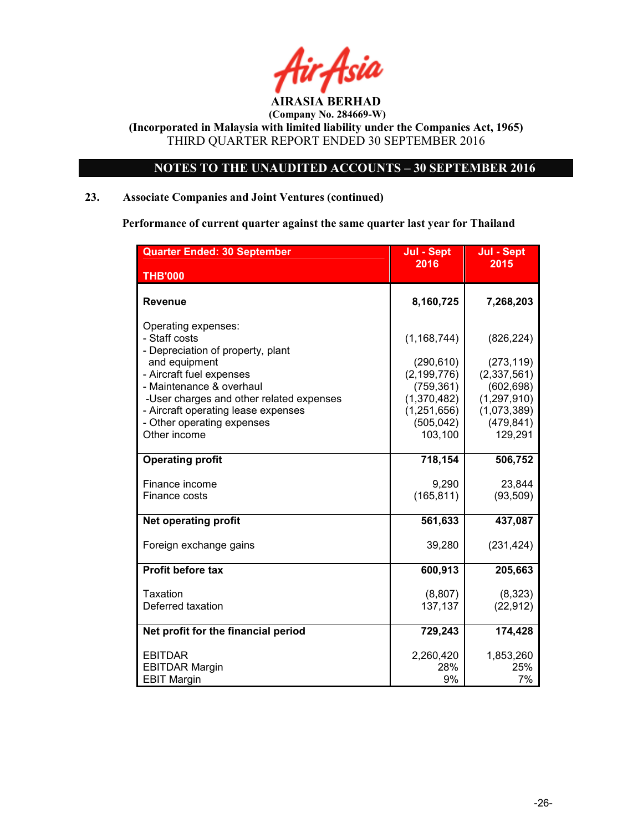![](_page_25_Picture_0.jpeg)

 (Company No. 284669-W) (Incorporated in Malaysia with limited liability under the Companies Act, 1965)

THIRD QUARTER REPORT ENDED 30 SEPTEMBER 2016

### NOTES TO THE UNAUDITED ACCOUNTS – 30 SEPTEMBER 2016

### 23. Associate Companies and Joint Ventures (continued)

Performance of current quarter against the same quarter last year for Thailand

| <b>Quarter Ended: 30 September</b>                 | Jul - Sept            | Jul - Sept            |
|----------------------------------------------------|-----------------------|-----------------------|
| <b>THB'000</b>                                     | 2016                  | 2015                  |
|                                                    |                       |                       |
| <b>Revenue</b>                                     | 8,160,725             | 7,268,203             |
| Operating expenses:                                |                       |                       |
| - Staff costs                                      | (1, 168, 744)         | (826, 224)            |
| - Depreciation of property, plant<br>and equipment | (290, 610)            | (273, 119)            |
| - Aircraft fuel expenses                           | (2, 199, 776)         | (2,337,561)           |
| - Maintenance & overhaul                           | (759, 361)            | (602, 698)            |
| -User charges and other related expenses           | (1,370,482)           | (1, 297, 910)         |
| - Aircraft operating lease expenses                | (1, 251, 656)         | (1,073,389)           |
| - Other operating expenses<br>Other income         | (505, 042)<br>103,100 | (479, 841)<br>129,291 |
|                                                    |                       |                       |
| <b>Operating profit</b>                            | 718,154               | 506,752               |
| Finance income                                     | 9,290                 | 23,844                |
| Finance costs                                      | (165, 811)            | (93, 509)             |
| <b>Net operating profit</b>                        | 561,633               | 437,087               |
| Foreign exchange gains                             | 39,280                | (231, 424)            |
|                                                    |                       |                       |
| <b>Profit before tax</b>                           | 600,913               | 205,663               |
| Taxation                                           | (8, 807)              | (8,323)               |
| Deferred taxation                                  | 137,137               | (22, 912)             |
| Net profit for the financial period                | 729,243               | 174,428               |
|                                                    |                       |                       |
| <b>EBITDAR</b>                                     | 2,260,420             | 1,853,260             |
| <b>EBITDAR Margin</b>                              | 28%                   | 25%                   |
| <b>EBIT Margin</b>                                 | 9%                    | 7%                    |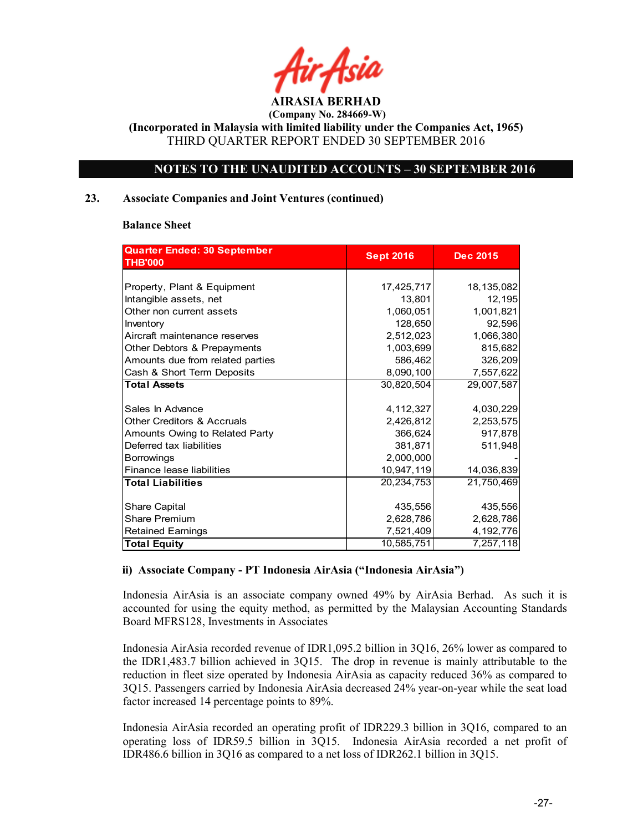![](_page_26_Picture_0.jpeg)

(Incorporated in Malaysia with limited liability under the Companies Act, 1965) THIRD QUARTER REPORT ENDED 30 SEPTEMBER 2016

### NOTES TO THE UNAUDITED ACCOUNTS – 30 SEPTEMBER 2016

### 23. Associate Companies and Joint Ventures (continued)

### Balance Sheet

| Quarter Ended: 30 September           | <b>Sept 2016</b> | <b>Dec 2015</b> |
|---------------------------------------|------------------|-----------------|
| <b>THB'000</b>                        |                  |                 |
|                                       |                  |                 |
| Property, Plant & Equipment           | 17,425,717       | 18, 135, 082    |
| Intangible assets, net                | 13,801           | 12,195          |
| Other non current assets              | 1,060,051        | 1,001,821       |
| Inventory                             | 128,650          | 92,596          |
| Aircraft maintenance reserves         | 2,512,023        | 1,066,380       |
| Other Debtors & Prepayments           | 1,003,699        | 815,682         |
| Amounts due from related parties      | 586,462          | 326,209         |
| Cash & Short Term Deposits            | 8,090,100        | 7,557,622       |
| <b>Total Assets</b>                   | 30,820,504       | 29,007,587      |
|                                       |                  |                 |
| Sales In Advance                      | 4, 112, 327      | 4,030,229       |
| <b>Other Creditors &amp; Accruals</b> | 2,426,812        | 2,253,575       |
| Amounts Owing to Related Party        | 366,624          | 917,878         |
| Deferred tax liabilities              | 381,871          | 511,948         |
| <b>Borrowings</b>                     | 2,000,000        |                 |
| Finance lease liabilities             | 10,947,119       | 14,036,839      |
| <b>Total Liabilities</b>              | 20,234,753       | 21,750,469      |
|                                       |                  |                 |
| Share Capital                         | 435,556          | 435,556         |
| <b>Share Premium</b>                  | 2,628,786        | 2,628,786       |
| <b>Retained Earnings</b>              | 7,521,409        | 4, 192, 776     |
| <b>Total Equity</b>                   | 10,585,751       | 7,257,118       |

### ii) Associate Company - PT Indonesia AirAsia ("Indonesia AirAsia")

Indonesia AirAsia is an associate company owned 49% by AirAsia Berhad. As such it is accounted for using the equity method, as permitted by the Malaysian Accounting Standards Board MFRS128, Investments in Associates

Indonesia AirAsia recorded revenue of IDR1,095.2 billion in 3Q16, 26% lower as compared to the IDR1,483.7 billion achieved in 3Q15. The drop in revenue is mainly attributable to the reduction in fleet size operated by Indonesia AirAsia as capacity reduced 36% as compared to 3Q15. Passengers carried by Indonesia AirAsia decreased 24% year-on-year while the seat load factor increased 14 percentage points to 89%.

Indonesia AirAsia recorded an operating profit of IDR229.3 billion in 3Q16, compared to an operating loss of IDR59.5 billion in 3Q15. Indonesia AirAsia recorded a net profit of IDR486.6 billion in 3Q16 as compared to a net loss of IDR262.1 billion in 3Q15.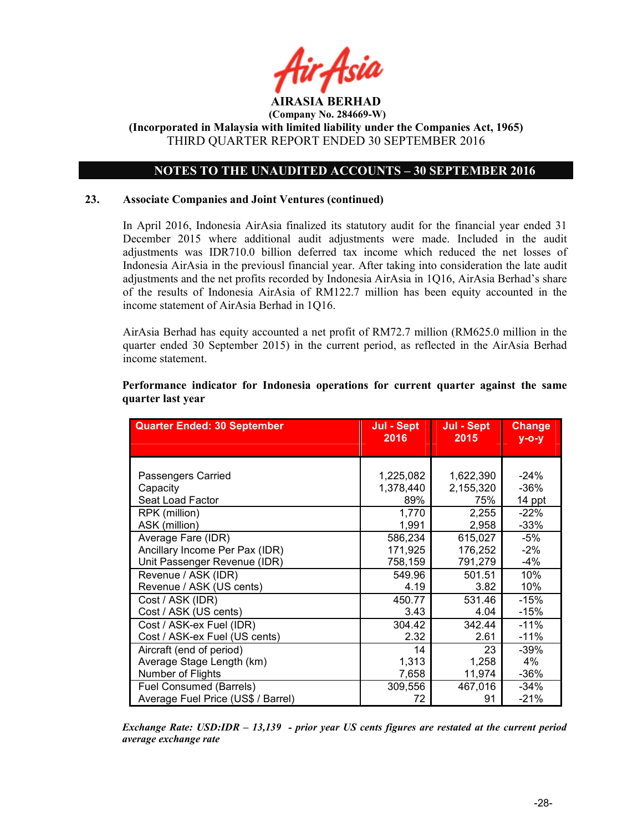![](_page_27_Picture_0.jpeg)

### NOTES TO THE UNAUDITED ACCOUNTS – 30 SEPTEMBER 2016

### 23. Associate Companies and Joint Ventures (continued)

In April 2016, Indonesia AirAsia finalized its statutory audit for the financial year ended 31 December 2015 where additional audit adjustments were made. Included in the audit adjustments was IDR710.0 billion deferred tax income which reduced the net losses of Indonesia AirAsia in the previousl financial year. After taking into consideration the late audit adjustments and the net profits recorded by Indonesia AirAsia in 1Q16, AirAsia Berhad's share of the results of Indonesia AirAsia of RM122.7 million has been equity accounted in the income statement of AirAsia Berhad in 1Q16.

AirAsia Berhad has equity accounted a net profit of RM72.7 million (RM625.0 million in the quarter ended 30 September 2015) in the current period, as reflected in the AirAsia Berhad income statement.

### Performance indicator for Indonesia operations for current quarter against the same quarter last year

| <b>Quarter Ended: 30 September</b> | Jul - Sept<br>2016 | Jul - Sept<br>2015 | <b>Change</b><br>$y$ -o-y |
|------------------------------------|--------------------|--------------------|---------------------------|
|                                    |                    |                    |                           |
|                                    |                    |                    |                           |
| Passengers Carried                 | 1,225,082          | 1,622,390          | $-24%$                    |
| Capacity                           | 1,378,440          | 2,155,320          | $-36%$                    |
| Seat Load Factor                   | 89%                | 75%                | 14 ppt                    |
| RPK (million)                      | 1,770              | 2,255              | $-22%$                    |
| ASK (million)                      | 1,991              | 2,958              | $-33%$                    |
| Average Fare (IDR)                 | 586,234            | 615,027            | $-5%$                     |
| Ancillary Income Per Pax (IDR)     | 171,925            | 176,252            | $-2\%$                    |
| Unit Passenger Revenue (IDR)       | 758,159            | 791,279            | $-4%$                     |
| Revenue / ASK (IDR)                | 549.96             | 501.51             | 10%                       |
| Revenue / ASK (US cents)           | 4.19               | 3.82               | 10%                       |
| Cost / ASK (IDR)                   | 450.77             | 531.46             | $-15%$                    |
| Cost / ASK (US cents)              | 3.43               | 4.04               | $-15%$                    |
| Cost / ASK-ex Fuel (IDR)           | 304.42             | 342.44             | $-11%$                    |
| Cost / ASK-ex Fuel (US cents)      | 2.32               | 2.61               | $-11%$                    |
| Aircraft (end of period)           | 14                 | 23                 | $-39%$                    |
| Average Stage Length (km)          | 1,313              | 1,258              | 4%                        |
| Number of Flights                  | 7,658              | 11,974             | $-36%$                    |
| Fuel Consumed (Barrels)            | 309,556            | 467,016            | $-34%$                    |
| Average Fuel Price (US\$ / Barrel) | 72                 | 91                 | $-21%$                    |

Exchange Rate: USD:IDR – 13,139 - prior year US cents figures are restated at the current period average exchange rate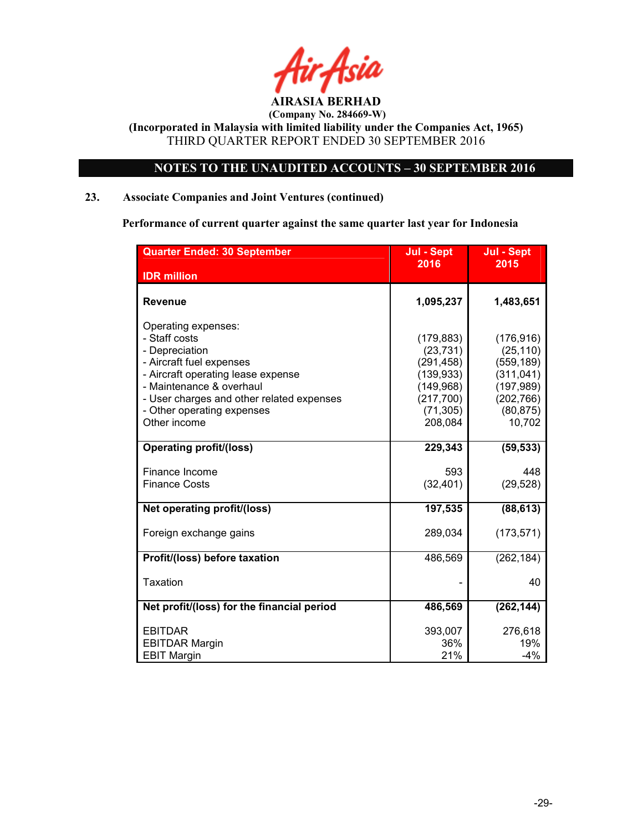![](_page_28_Picture_0.jpeg)

 (Company No. 284669-W) (Incorporated in Malaysia with limited liability under the Companies Act, 1965)

THIRD QUARTER REPORT ENDED 30 SEPTEMBER 2016

### NOTES TO THE UNAUDITED ACCOUNTS – 30 SEPTEMBER 2016

### 23. Associate Companies and Joint Ventures (continued)

Performance of current quarter against the same quarter last year for Indonesia

| <b>Quarter Ended: 30 September</b>                                                                                                                                                                                                              | Jul - Sept                                                                                              | Jul - Sept                                                                                             |
|-------------------------------------------------------------------------------------------------------------------------------------------------------------------------------------------------------------------------------------------------|---------------------------------------------------------------------------------------------------------|--------------------------------------------------------------------------------------------------------|
| <b>IDR</b> million                                                                                                                                                                                                                              | 2016                                                                                                    | 2015                                                                                                   |
| <b>Revenue</b>                                                                                                                                                                                                                                  | 1,095,237                                                                                               | 1,483,651                                                                                              |
| Operating expenses:<br>- Staff costs<br>- Depreciation<br>- Aircraft fuel expenses<br>- Aircraft operating lease expense<br>- Maintenance & overhaul<br>- User charges and other related expenses<br>- Other operating expenses<br>Other income | (179, 883)<br>(23, 731)<br>(291, 458)<br>(139, 933)<br>(149, 968)<br>(217, 700)<br>(71, 305)<br>208,084 | (176, 916)<br>(25, 110)<br>(559, 189)<br>(311, 041)<br>(197, 989)<br>(202, 766)<br>(80, 875)<br>10,702 |
| <b>Operating profit/(loss)</b>                                                                                                                                                                                                                  | 229,343                                                                                                 | (59, 533)                                                                                              |
| Finance Income<br><b>Finance Costs</b>                                                                                                                                                                                                          | 593<br>(32, 401)                                                                                        | 448<br>(29, 528)                                                                                       |
| Net operating profit/(loss)                                                                                                                                                                                                                     | 197,535                                                                                                 | (88, 613)                                                                                              |
| Foreign exchange gains                                                                                                                                                                                                                          | 289,034                                                                                                 | (173, 571)                                                                                             |
| Profit/(loss) before taxation                                                                                                                                                                                                                   | 486,569                                                                                                 | (262, 184)                                                                                             |
| <b>Taxation</b>                                                                                                                                                                                                                                 |                                                                                                         | 40                                                                                                     |
| Net profit/(loss) for the financial period                                                                                                                                                                                                      | 486,569                                                                                                 | (262, 144)                                                                                             |
| <b>EBITDAR</b><br><b>EBITDAR Margin</b><br><b>EBIT Margin</b>                                                                                                                                                                                   | 393,007<br>36%<br>21%                                                                                   | 276,618<br>19%<br>$-4%$                                                                                |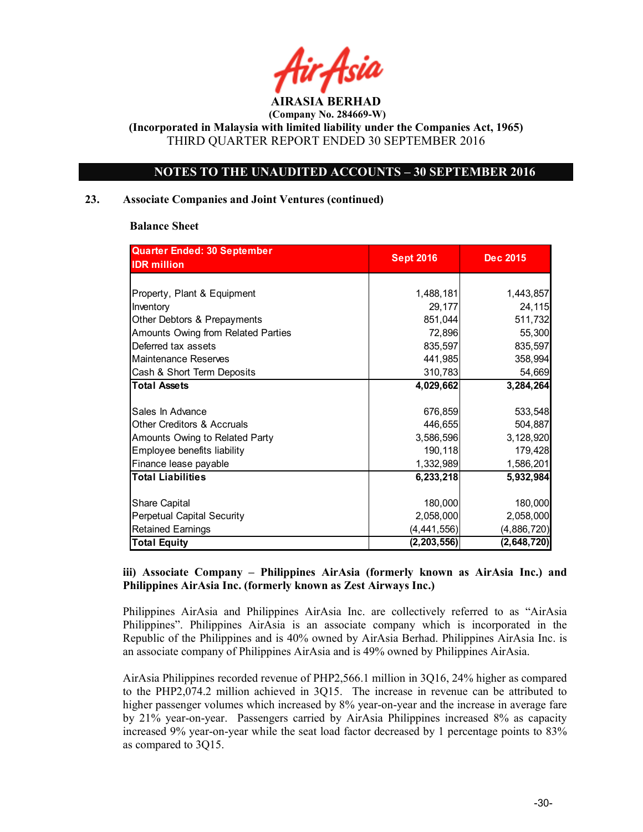![](_page_29_Picture_0.jpeg)

(Incorporated in Malaysia with limited liability under the Companies Act, 1965) THIRD QUARTER REPORT ENDED 30 SEPTEMBER 2016

### NOTES TO THE UNAUDITED ACCOUNTS – 30 SEPTEMBER 2016

### 23. Associate Companies and Joint Ventures (continued)

### Balance Sheet

| Quarter Ended: 30 September           |                  |                 |
|---------------------------------------|------------------|-----------------|
| <b>IDR million</b>                    | <b>Sept 2016</b> | <b>Dec 2015</b> |
|                                       |                  |                 |
| Property, Plant & Equipment           | 1,488,181        | 1,443,857       |
| Inventory                             | 29,177           | 24,115          |
| Other Debtors & Prepayments           | 851,044          | 511,732         |
| Amounts Owing from Related Parties    | 72,896           | 55,300          |
| Deferred tax assets                   | 835,597          | 835,597         |
| Maintenance Reserves                  | 441,985          | 358,994         |
| Cash & Short Term Deposits            | 310,783          | 54,669          |
| <b>Total Assets</b>                   | 4,029,662        | 3,284,264       |
|                                       |                  |                 |
| Sales In Advance                      | 676,859          | 533,548         |
| <b>Other Creditors &amp; Accruals</b> | 446,655          | 504,887         |
| Amounts Owing to Related Party        | 3,586,596        | 3,128,920       |
| Employee benefits liability           | 190,118          | 179,428         |
| Finance lease payable                 | 1,332,989        | 1,586,201       |
| <b>Total Liabilities</b>              | 6,233,218        | 5,932,984       |
|                                       |                  |                 |
| Share Capital                         | 180,000          | 180,000         |
| Perpetual Capital Security            | 2,058,000        | 2,058,000       |
| <b>Retained Earnings</b>              | (4, 441, 556)    | (4,886,720)     |
| <b>Total Equity</b>                   | (2, 203, 556)    | (2,648,720)     |

### iii) Associate Company – Philippines AirAsia (formerly known as AirAsia Inc.) and Philippines AirAsia Inc. (formerly known as Zest Airways Inc.)

Philippines AirAsia and Philippines AirAsia Inc. are collectively referred to as "AirAsia Philippines". Philippines AirAsia is an associate company which is incorporated in the Republic of the Philippines and is 40% owned by AirAsia Berhad. Philippines AirAsia Inc. is an associate company of Philippines AirAsia and is 49% owned by Philippines AirAsia.

AirAsia Philippines recorded revenue of PHP2,566.1 million in 3Q16, 24% higher as compared to the PHP2,074.2 million achieved in 3Q15. The increase in revenue can be attributed to higher passenger volumes which increased by 8% year-on-year and the increase in average fare by 21% year-on-year. Passengers carried by AirAsia Philippines increased 8% as capacity increased 9% year-on-year while the seat load factor decreased by 1 percentage points to 83% as compared to 3Q15.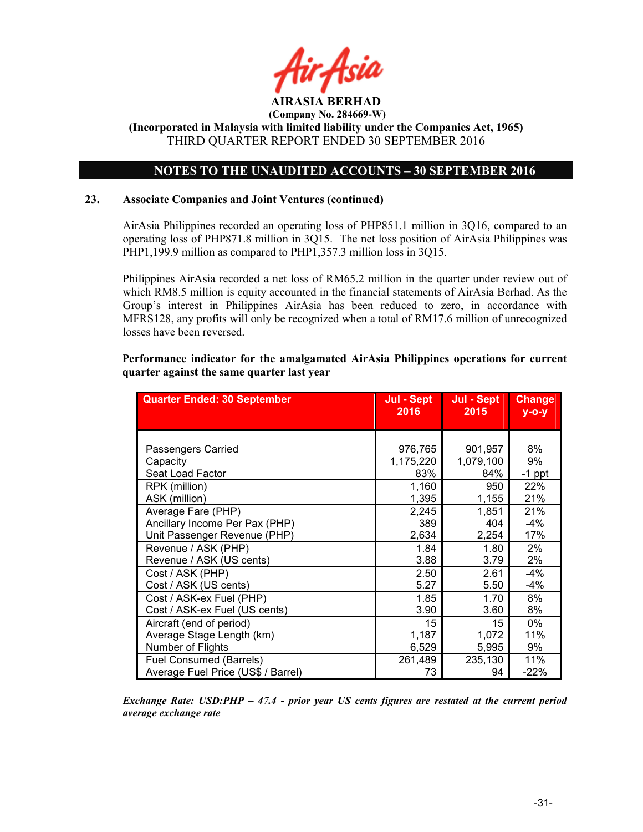![](_page_30_Picture_0.jpeg)

### NOTES TO THE UNAUDITED ACCOUNTS – 30 SEPTEMBER 2016

### 23. Associate Companies and Joint Ventures (continued)

AirAsia Philippines recorded an operating loss of PHP851.1 million in 3Q16, compared to an operating loss of PHP871.8 million in 3Q15. The net loss position of AirAsia Philippines was PHP1,199.9 million as compared to PHP1,357.3 million loss in 3Q15.

Philippines AirAsia recorded a net loss of RM65.2 million in the quarter under review out of which RM8.5 million is equity accounted in the financial statements of AirAsia Berhad. As the Group's interest in Philippines AirAsia has been reduced to zero, in accordance with MFRS128, any profits will only be recognized when a total of RM17.6 million of unrecognized losses have been reversed.

### Performance indicator for the amalgamated AirAsia Philippines operations for current quarter against the same quarter last year

| <b>Quarter Ended: 30 September</b> | Jul - Sept<br>Jul - Sept |           | <b>Change</b> |
|------------------------------------|--------------------------|-----------|---------------|
|                                    | 2016                     | 2015      | $y$ -o-y      |
|                                    |                          |           |               |
| Passengers Carried                 | 976,765                  | 901,957   | 8%            |
| Capacity                           | 1,175,220                | 1,079,100 | 9%            |
| Seat Load Factor                   | 83%                      | 84%       | $-1$ ppt      |
| RPK (million)                      | 1,160                    | 950       | 22%           |
| ASK (million)                      | 1,395                    | 1,155     | 21%           |
| Average Fare (PHP)                 | 2,245                    | 1,851     | 21%           |
| Ancillary Income Per Pax (PHP)     | 389                      | 404       | -4%           |
| Unit Passenger Revenue (PHP)       | 2,634                    | 2,254     | 17%           |
| Revenue / ASK (PHP)                | 1.84                     | 1.80      | 2%            |
| Revenue / ASK (US cents)           | 3.88                     | 3.79      | 2%            |
| Cost / ASK (PHP)                   | 2.50                     | 2.61      | $-4%$         |
| Cost / ASK (US cents)              | 5.27                     | 5.50      | $-4%$         |
| Cost / ASK-ex Fuel (PHP)           | 1.85                     | 1.70      | 8%            |
| Cost / ASK-ex Fuel (US cents)      | 3.90                     | 3.60      | 8%            |
| Aircraft (end of period)           | 15                       | 15        | 0%            |
| Average Stage Length (km)          | 1,187                    | 1,072     | 11%           |
| Number of Flights                  | 6,529                    | 5,995     | 9%            |
| <b>Fuel Consumed (Barrels)</b>     | 261,489                  | 235,130   | 11%           |
| Average Fuel Price (US\$ / Barrel) | 73                       | 94        | $-22%$        |

Exchange Rate: USD:PHP – 47.4 - prior year US cents figures are restated at the current period average exchange rate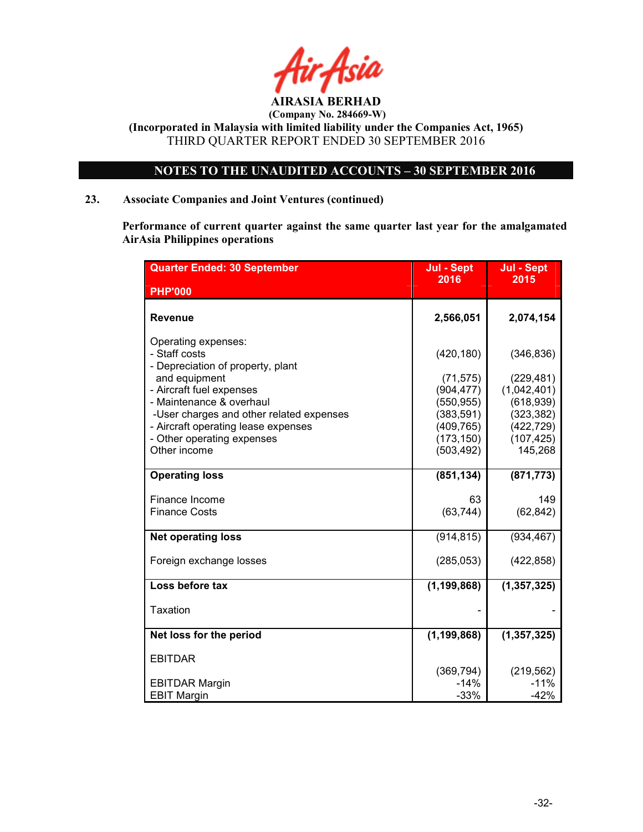![](_page_31_Picture_0.jpeg)

NOTES TO THE UNAUDITED ACCOUNTS – 30 SEPTEMBER 2016

### 23. Associate Companies and Joint Ventures (continued)

Performance of current quarter against the same quarter last year for the amalgamated AirAsia Philippines operations

| <b>Quarter Ended: 30 September</b>                                                                                                                                                                                                                                                  | Jul - Sept<br>2016                                                                                          | Jul - Sept<br>2015                                                                                         |
|-------------------------------------------------------------------------------------------------------------------------------------------------------------------------------------------------------------------------------------------------------------------------------------|-------------------------------------------------------------------------------------------------------------|------------------------------------------------------------------------------------------------------------|
| <b>PHP'000</b>                                                                                                                                                                                                                                                                      |                                                                                                             |                                                                                                            |
| Revenue                                                                                                                                                                                                                                                                             | 2,566,051                                                                                                   | 2,074,154                                                                                                  |
| Operating expenses:<br>- Staff costs<br>- Depreciation of property, plant<br>and equipment<br>- Aircraft fuel expenses<br>- Maintenance & overhaul<br>-User charges and other related expenses<br>- Aircraft operating lease expenses<br>- Other operating expenses<br>Other income | (420, 180)<br>(71, 575)<br>(904, 477)<br>(550, 955)<br>(383, 591)<br>(409, 765)<br>(173, 150)<br>(503, 492) | (346, 836)<br>(229, 481)<br>(1,042,401)<br>(618, 939)<br>(323, 382)<br>(422, 729)<br>(107, 425)<br>145,268 |
| <b>Operating loss</b>                                                                                                                                                                                                                                                               | (851, 134)                                                                                                  | (871, 773)                                                                                                 |
| Finance Income<br><b>Finance Costs</b>                                                                                                                                                                                                                                              | 63<br>(63, 744)                                                                                             | 149<br>(62, 842)                                                                                           |
| <b>Net operating loss</b>                                                                                                                                                                                                                                                           | (914, 815)                                                                                                  | (934, 467)                                                                                                 |
| Foreign exchange losses                                                                                                                                                                                                                                                             | (285, 053)                                                                                                  | (422, 858)                                                                                                 |
| Loss before tax                                                                                                                                                                                                                                                                     | (1, 199, 868)                                                                                               | (1, 357, 325)                                                                                              |
| Taxation                                                                                                                                                                                                                                                                            |                                                                                                             |                                                                                                            |
| Net loss for the period                                                                                                                                                                                                                                                             | (1, 199, 868)                                                                                               | (1, 357, 325)                                                                                              |
| <b>EBITDAR</b>                                                                                                                                                                                                                                                                      | (369, 794)                                                                                                  | (219, 562)                                                                                                 |
| <b>EBITDAR Margin</b><br><b>EBIT Margin</b>                                                                                                                                                                                                                                         | $-14%$<br>$-33%$                                                                                            | $-11%$<br>$-42%$                                                                                           |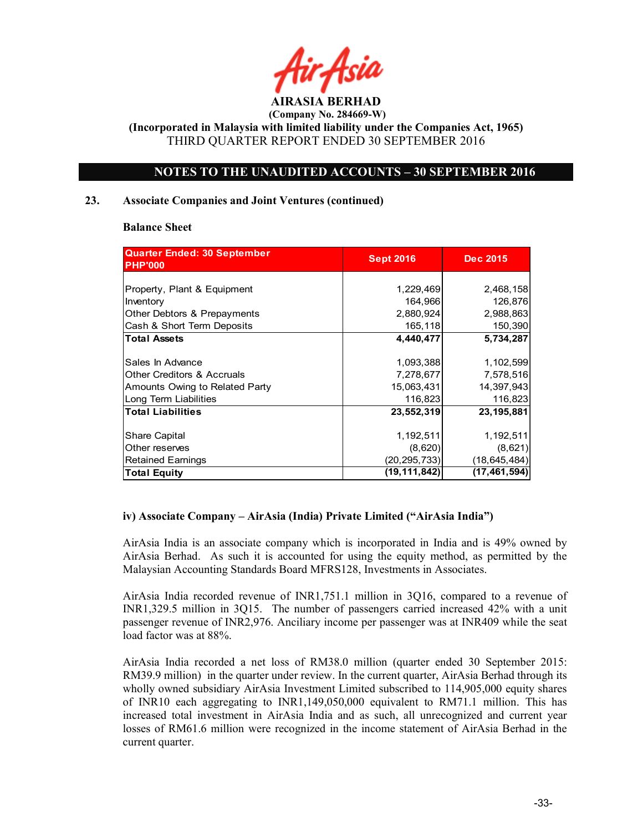![](_page_32_Picture_0.jpeg)

(Incorporated in Malaysia with limited liability under the Companies Act, 1965) THIRD QUARTER REPORT ENDED 30 SEPTEMBER 2016

### NOTES TO THE UNAUDITED ACCOUNTS – 30 SEPTEMBER 2016

### 23. Associate Companies and Joint Ventures (continued)

### Balance Sheet

| <b>Quarter Ended: 30 September</b><br><b>PHP'000</b> | <b>Sept 2016</b> | <b>Dec 2015</b> |
|------------------------------------------------------|------------------|-----------------|
|                                                      |                  |                 |
| Property, Plant & Equipment                          | 1,229,469        | 2,468,158       |
| Inventory                                            | 164,966          | 126,876         |
| Other Debtors & Prepayments                          | 2,880,924        | 2,988,863       |
| Cash & Short Term Deposits                           | 165,118          | 150,390         |
| <b>Total Assets</b>                                  | 4,440,477        | 5,734,287       |
| Sales In Advance                                     | 1,093,388        | 1,102,599       |
| <b>Other Creditors &amp; Accruals</b>                | 7,278,677        | 7,578,516       |
| Amounts Owing to Related Party                       | 15,063,431       | 14,397,943      |
| Long Term Liabilities                                | 116,823          | 116,823         |
| <b>Total Liabilities</b>                             | 23,552,319       | 23,195,881      |
| Share Capital                                        | 1,192,511        | 1,192,511       |
| Other reserves                                       | (8,620)          | (8,621)         |
| <b>Retained Earnings</b>                             | (20, 295, 733)   | (18, 645, 484)  |
| <b>Total Equity</b>                                  | (19, 111, 842)   | (17, 461, 594)  |

### iv) Associate Company – AirAsia (India) Private Limited ("AirAsia India")

AirAsia India is an associate company which is incorporated in India and is 49% owned by AirAsia Berhad. As such it is accounted for using the equity method, as permitted by the Malaysian Accounting Standards Board MFRS128, Investments in Associates.

AirAsia India recorded revenue of INR1,751.1 million in 3Q16, compared to a revenue of INR1,329.5 million in 3Q15. The number of passengers carried increased 42% with a unit passenger revenue of INR2,976. Anciliary income per passenger was at INR409 while the seat load factor was at 88%.

AirAsia India recorded a net loss of RM38.0 million (quarter ended 30 September 2015: RM39.9 million) in the quarter under review. In the current quarter, AirAsia Berhad through its wholly owned subsidiary AirAsia Investment Limited subscribed to 114,905,000 equity shares of INR10 each aggregating to INR1,149,050,000 equivalent to RM71.1 million. This has increased total investment in AirAsia India and as such, all unrecognized and current year losses of RM61.6 million were recognized in the income statement of AirAsia Berhad in the current quarter.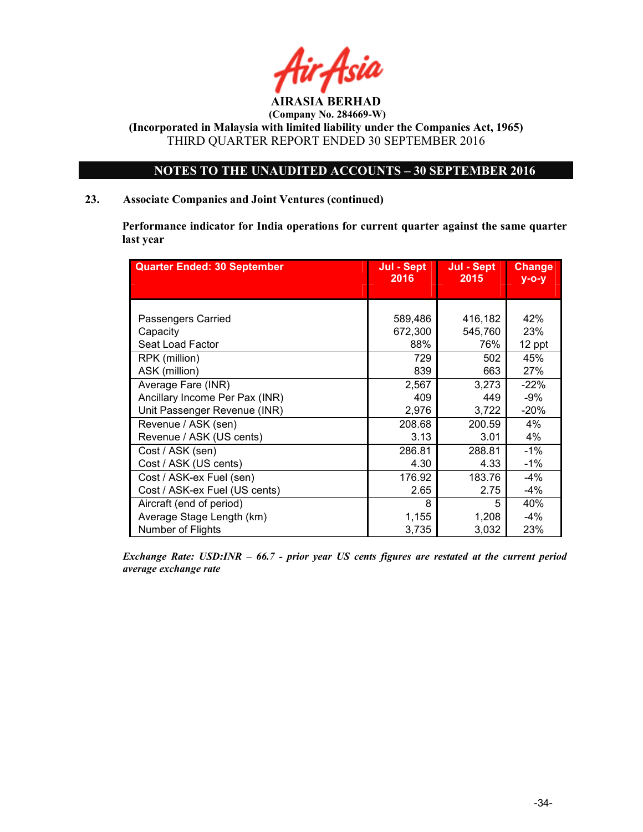![](_page_33_Picture_0.jpeg)

(Incorporated in Malaysia with limited liability under the Companies Act, 1965) THIRD QUARTER REPORT ENDED 30 SEPTEMBER 2016

### NOTES TO THE UNAUDITED ACCOUNTS – 30 SEPTEMBER 2016

### 23. Associate Companies and Joint Ventures (continued)

Performance indicator for India operations for current quarter against the same quarter last year

| <b>Quarter Ended: 30 September</b> | Jul - Sept<br>2016 | Jul - Sept<br>2015 | <b>Change</b><br>$y - o - y$ |
|------------------------------------|--------------------|--------------------|------------------------------|
|                                    |                    |                    |                              |
|                                    |                    |                    |                              |
| Passengers Carried                 | 589,486            | 416,182            | 42%                          |
| Capacity                           | 672,300            | 545,760            | 23%                          |
| Seat Load Factor                   | 88%                | 76%                | 12 ppt                       |
| RPK (million)                      | 729                | 502                | 45%                          |
| ASK (million)                      | 839                | 663                | 27%                          |
| Average Fare (INR)                 | 2,567              | 3,273              | $-22%$                       |
| Ancillary Income Per Pax (INR)     | 409                | 449                | -9%                          |
| Unit Passenger Revenue (INR)       | 2,976              | 3,722              | $-20%$                       |
| Revenue / ASK (sen)                | 208.68             | 200.59             | 4%                           |
| Revenue / ASK (US cents)           | 3.13               | 3.01               | 4%                           |
| Cost / ASK (sen)                   | 286.81             | 288.81             | $-1%$                        |
| Cost / ASK (US cents)              | 4.30               | 4.33               | $-1\%$                       |
| Cost / ASK-ex Fuel (sen)           | 176.92             | 183.76             | -4%                          |
| Cost / ASK-ex Fuel (US cents)      | 2.65               | 2.75               | $-4%$                        |
| Aircraft (end of period)           | 8                  | 5                  | 40%                          |
| Average Stage Length (km)          | 1,155              | 1,208              | -4%                          |
| Number of Flights                  | 3,735              | 3,032              | 23%                          |

Exchange Rate: USD:INR – 66.7 - prior year US cents figures are restated at the current period average exchange rate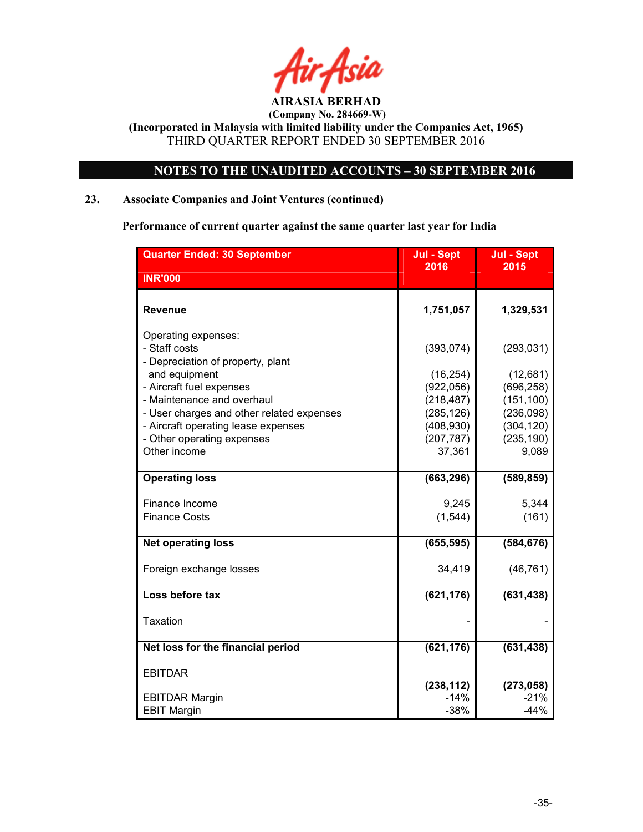![](_page_34_Picture_0.jpeg)

### NOTES TO THE UNAUDITED ACCOUNTS – 30 SEPTEMBER 2016

### 23. Associate Companies and Joint Ventures (continued)

Performance of current quarter against the same quarter last year for India

| <b>Quarter Ended: 30 September</b>                                                                                             | Jul - Sept                                       | Jul - Sept                                     |
|--------------------------------------------------------------------------------------------------------------------------------|--------------------------------------------------|------------------------------------------------|
| <b>INR'000</b>                                                                                                                 | 2016                                             | 2015                                           |
| <b>Revenue</b>                                                                                                                 | 1,751,057                                        | 1,329,531                                      |
| Operating expenses:<br>- Staff costs<br>- Depreciation of property, plant<br>and equipment                                     | (393, 074)<br>(16, 254)                          | (293, 031)<br>(12,681)                         |
| - Aircraft fuel expenses<br>- Maintenance and overhaul                                                                         | (922, 056)<br>(218, 487)                         | (696, 258)<br>(151, 100)                       |
| - User charges and other related expenses<br>- Aircraft operating lease expenses<br>- Other operating expenses<br>Other income | (285, 126)<br>(408, 930)<br>(207, 787)<br>37,361 | (236,098)<br>(304, 120)<br>(235, 190)<br>9,089 |
| <b>Operating loss</b>                                                                                                          | (663, 296)                                       | (589, 859)                                     |
| Finance Income<br><b>Finance Costs</b>                                                                                         | 9,245<br>(1, 544)                                | 5,344<br>(161)                                 |
| <b>Net operating loss</b>                                                                                                      | (655, 595)                                       | (584, 676)                                     |
| Foreign exchange losses                                                                                                        | 34,419                                           | (46, 761)                                      |
| Loss before tax                                                                                                                | (621, 176)                                       | (631, 438)                                     |
| Taxation                                                                                                                       |                                                  |                                                |
| Net loss for the financial period                                                                                              | (621, 176)                                       | (631, 438)                                     |
| <b>EBITDAR</b>                                                                                                                 | (238, 112)                                       | (273, 058)                                     |
| <b>EBITDAR Margin</b><br><b>EBIT Margin</b>                                                                                    | $-14%$<br>$-38%$                                 | $-21%$<br>$-44%$                               |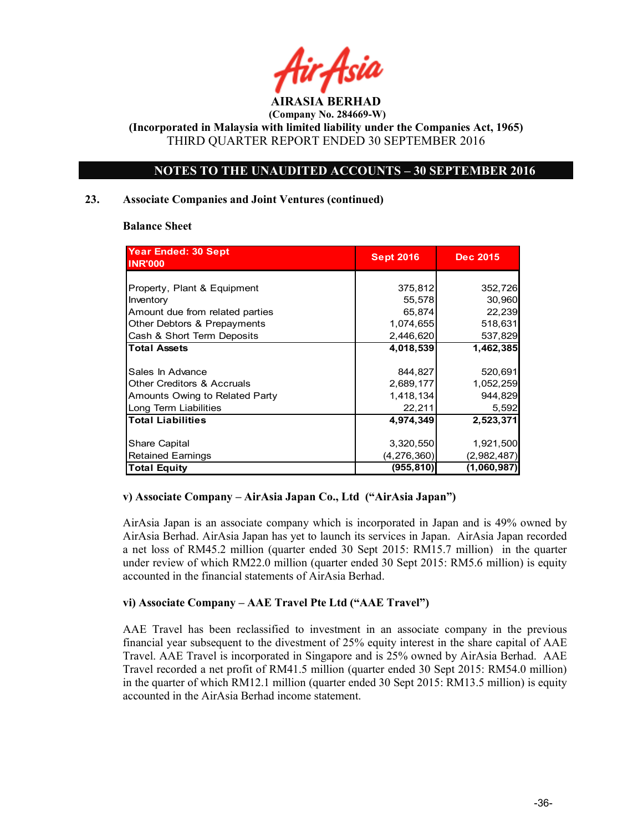![](_page_35_Picture_0.jpeg)

(Incorporated in Malaysia with limited liability under the Companies Act, 1965) THIRD QUARTER REPORT ENDED 30 SEPTEMBER 2016

### NOTES TO THE UNAUDITED ACCOUNTS – 30 SEPTEMBER 2016

### 23. Associate Companies and Joint Ventures (continued)

### Balance Sheet

| Year Ended: 30 Sept<br><b>INR'000</b> | <b>Sept 2016</b> | <b>Dec 2015</b> |
|---------------------------------------|------------------|-----------------|
|                                       |                  |                 |
| Property, Plant & Equipment           | 375,812          | 352,726         |
| Inventory                             | 55,578           | 30,960          |
| Amount due from related parties       | 65,874           | 22,239          |
| Other Debtors & Prepayments           | 1,074,655        | 518,631         |
| Cash & Short Term Deposits            | 2,446,620        | 537,829         |
| <b>Total Assets</b>                   | 4,018,539        | 1,462,385       |
|                                       |                  |                 |
| Sales In Advance                      | 844,827          | 520,691         |
| <b>Other Creditors &amp; Accruals</b> | 2,689,177        | 1,052,259       |
| Amounts Owing to Related Party        | 1,418,134        | 944,829         |
| Long Term Liabilities                 | 22,211           | 5,592           |
| <b>Total Liabilities</b>              | 4,974,349        | 2,523,371       |
|                                       |                  |                 |
| Share Capital                         | 3,320,550        | 1,921,500       |
| <b>Retained Earnings</b>              | (4,276,360)      | (2,982,487)     |
| <b>Total Equity</b>                   | (955, 810)       | (1,060,987)     |

### v) Associate Company – AirAsia Japan Co., Ltd ("AirAsia Japan")

AirAsia Japan is an associate company which is incorporated in Japan and is 49% owned by AirAsia Berhad. AirAsia Japan has yet to launch its services in Japan. AirAsia Japan recorded a net loss of RM45.2 million (quarter ended 30 Sept 2015: RM15.7 million) in the quarter under review of which RM22.0 million (quarter ended 30 Sept 2015: RM5.6 million) is equity accounted in the financial statements of AirAsia Berhad.

### vi) Associate Company – AAE Travel Pte Ltd ("AAE Travel")

AAE Travel has been reclassified to investment in an associate company in the previous financial year subsequent to the divestment of 25% equity interest in the share capital of AAE Travel. AAE Travel is incorporated in Singapore and is 25% owned by AirAsia Berhad. AAE Travel recorded a net profit of RM41.5 million (quarter ended 30 Sept 2015: RM54.0 million) in the quarter of which RM12.1 million (quarter ended 30 Sept 2015: RM13.5 million) is equity accounted in the AirAsia Berhad income statement.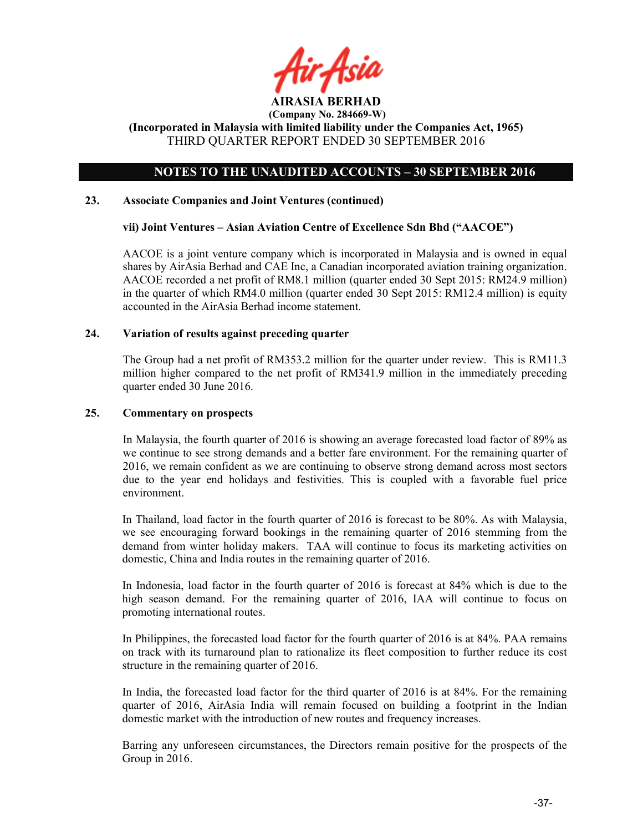![](_page_36_Picture_0.jpeg)

(Incorporated in Malaysia with limited liability under the Companies Act, 1965) THIRD QUARTER REPORT ENDED 30 SEPTEMBER 2016

### NOTES TO THE UNAUDITED ACCOUNTS – 30 SEPTEMBER 2016

### 23. Associate Companies and Joint Ventures (continued)

### vii) Joint Ventures – Asian Aviation Centre of Excellence Sdn Bhd ("AACOE")

AACOE is a joint venture company which is incorporated in Malaysia and is owned in equal shares by AirAsia Berhad and CAE Inc, a Canadian incorporated aviation training organization. AACOE recorded a net profit of RM8.1 million (quarter ended 30 Sept 2015: RM24.9 million) in the quarter of which RM4.0 million (quarter ended 30 Sept 2015: RM12.4 million) is equity accounted in the AirAsia Berhad income statement.

### 24. Variation of results against preceding quarter

The Group had a net profit of RM353.2 million for the quarter under review. This is RM11.3 million higher compared to the net profit of RM341.9 million in the immediately preceding quarter ended 30 June 2016.

### 25. Commentary on prospects

In Malaysia, the fourth quarter of 2016 is showing an average forecasted load factor of 89% as we continue to see strong demands and a better fare environment. For the remaining quarter of 2016, we remain confident as we are continuing to observe strong demand across most sectors due to the year end holidays and festivities. This is coupled with a favorable fuel price environment.

In Thailand, load factor in the fourth quarter of 2016 is forecast to be 80%. As with Malaysia, we see encouraging forward bookings in the remaining quarter of 2016 stemming from the demand from winter holiday makers. TAA will continue to focus its marketing activities on domestic, China and India routes in the remaining quarter of 2016.

In Indonesia, load factor in the fourth quarter of 2016 is forecast at 84% which is due to the high season demand. For the remaining quarter of 2016, IAA will continue to focus on promoting international routes.

In Philippines, the forecasted load factor for the fourth quarter of 2016 is at 84%. PAA remains on track with its turnaround plan to rationalize its fleet composition to further reduce its cost structure in the remaining quarter of 2016.

In India, the forecasted load factor for the third quarter of 2016 is at 84%. For the remaining quarter of 2016, AirAsia India will remain focused on building a footprint in the Indian domestic market with the introduction of new routes and frequency increases.

Barring any unforeseen circumstances, the Directors remain positive for the prospects of the Group in 2016.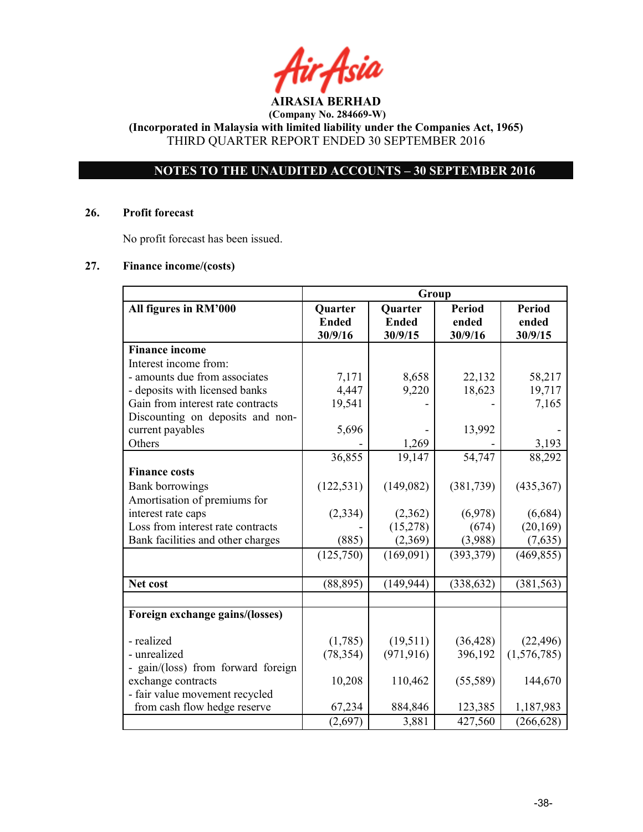AIRASIA BERHAD

(Incorporated in Malaysia with limited liability under the Companies Act, 1965) THIRD QUARTER REPORT ENDED 30 SEPTEMBER 2016

### NOTES TO THE UNAUDITED ACCOUNTS – 30 SEPTEMBER 2016

### 26. Profit forecast

No profit forecast has been issued.

### 27. Finance income/(costs)

|                                    | Group                              |                                    |                                   |                                   |
|------------------------------------|------------------------------------|------------------------------------|-----------------------------------|-----------------------------------|
| All figures in RM'000              | Quarter<br><b>Ended</b><br>30/9/16 | Quarter<br><b>Ended</b><br>30/9/15 | <b>Period</b><br>ended<br>30/9/16 | <b>Period</b><br>ended<br>30/9/15 |
| <b>Finance income</b>              |                                    |                                    |                                   |                                   |
| Interest income from:              |                                    |                                    |                                   |                                   |
| - amounts due from associates      | 7,171                              | 8,658                              | 22,132                            | 58,217                            |
| - deposits with licensed banks     | 4,447                              | 9,220                              | 18,623                            | 19,717                            |
| Gain from interest rate contracts  | 19,541                             |                                    |                                   | 7,165                             |
| Discounting on deposits and non-   |                                    |                                    |                                   |                                   |
| current payables                   | 5,696                              |                                    | 13,992                            |                                   |
| Others                             |                                    | 1,269                              |                                   | 3,193                             |
|                                    | 36,855                             | 19,147                             | 54,747                            | 88,292                            |
| <b>Finance costs</b>               |                                    |                                    |                                   |                                   |
| <b>Bank borrowings</b>             | (122, 531)                         | (149,082)                          | (381, 739)                        | (435, 367)                        |
| Amortisation of premiums for       |                                    |                                    |                                   |                                   |
| interest rate caps                 | (2, 334)                           | (2,362)                            | (6,978)                           | (6,684)                           |
| Loss from interest rate contracts  |                                    | (15,278)                           | (674)                             | (20, 169)                         |
| Bank facilities and other charges  | (885)                              | (2,369)                            | (3,988)                           | (7,635)                           |
|                                    | (125,750)                          | (169,091)                          | (393, 379)                        | (469, 855)                        |
| Net cost                           | (88, 895)                          | (149, 944)                         | (338, 632)                        | (381, 563)                        |
|                                    |                                    |                                    |                                   |                                   |
| Foreign exchange gains/(losses)    |                                    |                                    |                                   |                                   |
| - realized                         | (1,785)                            | (19,511)                           | (36, 428)                         | (22, 496)                         |
| - unrealized                       | (78, 354)                          | (971, 916)                         | 396,192                           | (1,576,785)                       |
| - gain/(loss) from forward foreign |                                    |                                    |                                   |                                   |
| exchange contracts                 | 10,208                             | 110,462                            | (55,589)                          | 144,670                           |
| - fair value movement recycled     |                                    |                                    |                                   |                                   |
| from cash flow hedge reserve       | 67,234                             | 884,846                            | 123,385                           | 1,187,983                         |
|                                    | (2,697)                            | 3,881                              | 427,560                           | (266, 628)                        |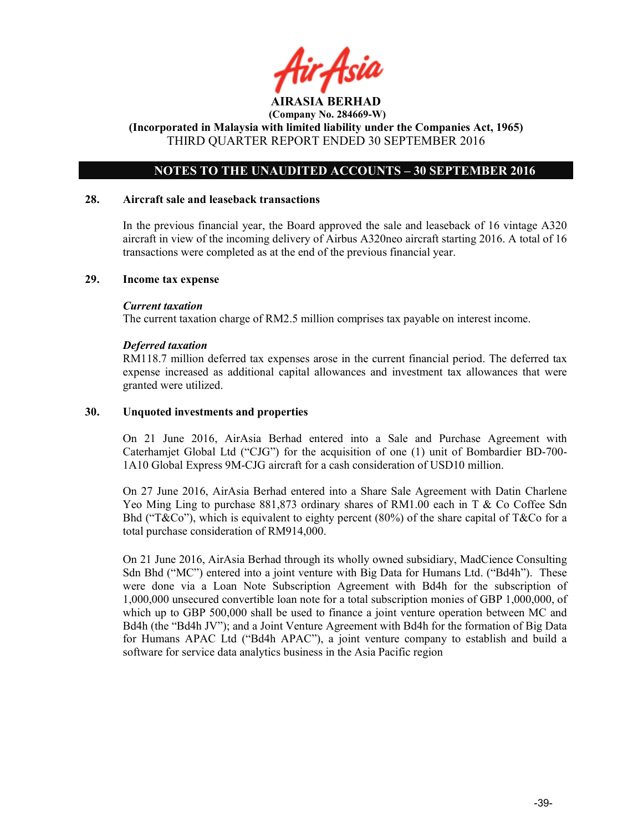![](_page_38_Picture_0.jpeg)

(Incorporated in Malaysia with limited liability under the Companies Act, 1965) THIRD QUARTER REPORT ENDED 30 SEPTEMBER 2016

### NOTES TO THE UNAUDITED ACCOUNTS – 30 SEPTEMBER 2016

### 28. Aircraft sale and leaseback transactions

In the previous financial year, the Board approved the sale and leaseback of 16 vintage A320 aircraft in view of the incoming delivery of Airbus A320neo aircraft starting 2016. A total of 16 transactions were completed as at the end of the previous financial year.

### 29. Income tax expense

### Current taxation

The current taxation charge of RM2.5 million comprises tax payable on interest income.

### Deferred taxation

RM118.7 million deferred tax expenses arose in the current financial period. The deferred tax expense increased as additional capital allowances and investment tax allowances that were granted were utilized.

### 30. Unquoted investments and properties

On 21 June 2016, AirAsia Berhad entered into a Sale and Purchase Agreement with Caterhamjet Global Ltd ("CJG") for the acquisition of one (1) unit of Bombardier BD-700- 1A10 Global Express 9M-CJG aircraft for a cash consideration of USD10 million.

On 27 June 2016, AirAsia Berhad entered into a Share Sale Agreement with Datin Charlene Yeo Ming Ling to purchase 881,873 ordinary shares of RM1.00 each in T & Co Coffee Sdn Bhd ("T&Co"), which is equivalent to eighty percent (80%) of the share capital of T&Co for a total purchase consideration of RM914,000.

On 21 June 2016, AirAsia Berhad through its wholly owned subsidiary, MadCience Consulting Sdn Bhd ("MC") entered into a joint venture with Big Data for Humans Ltd. ("Bd4h"). These were done via a Loan Note Subscription Agreement with Bd4h for the subscription of 1,000,000 unsecured convertible loan note for a total subscription monies of GBP 1,000,000, of which up to GBP 500,000 shall be used to finance a joint venture operation between MC and Bd4h (the "Bd4h JV"); and a Joint Venture Agreement with Bd4h for the formation of Big Data for Humans APAC Ltd ("Bd4h APAC"), a joint venture company to establish and build a software for service data analytics business in the Asia Pacific region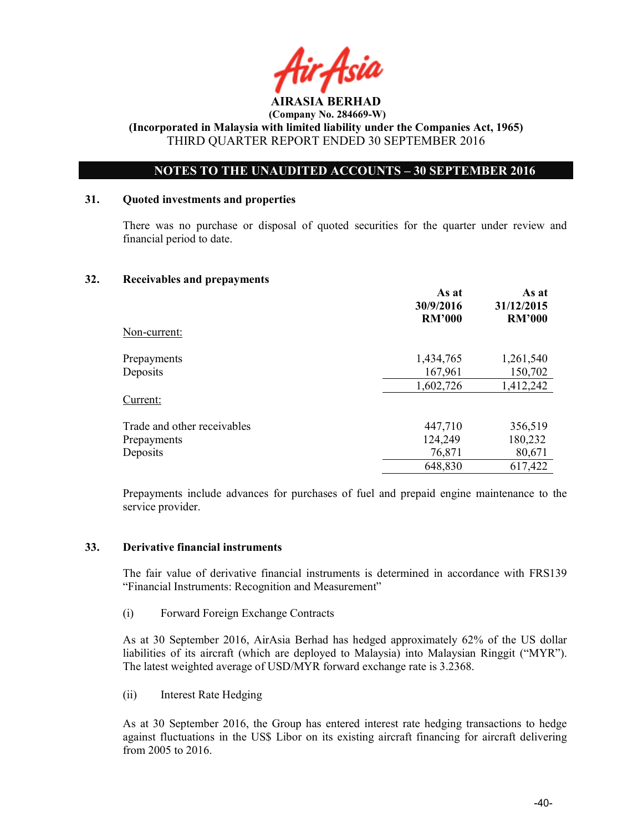![](_page_39_Picture_0.jpeg)

 (Company No. 284669-W) (Incorporated in Malaysia with limited liability under the Companies Act, 1965)

THIRD QUARTER REPORT ENDED 30 SEPTEMBER 2016

### NOTES TO THE UNAUDITED ACCOUNTS – 30 SEPTEMBER 2016

### 31. Quoted investments and properties

There was no purchase or disposal of quoted securities for the quarter under review and financial period to date.

### 32. Receivables and prepayments

|                             | As at<br>30/9/2016<br><b>RM'000</b> | As at<br>31/12/2015<br><b>RM'000</b> |
|-----------------------------|-------------------------------------|--------------------------------------|
| Non-current:                |                                     |                                      |
| Prepayments                 | 1,434,765                           | 1,261,540                            |
| Deposits                    | 167,961                             | 150,702                              |
|                             | 1,602,726                           | 1,412,242                            |
| Current:                    |                                     |                                      |
| Trade and other receivables | 447,710                             | 356,519                              |
| Prepayments                 | 124,249                             | 180,232                              |
| Deposits                    | 76,871                              | 80,671                               |
|                             | 648,830                             | 617,422                              |

Prepayments include advances for purchases of fuel and prepaid engine maintenance to the service provider.

### 33. Derivative financial instruments

The fair value of derivative financial instruments is determined in accordance with FRS139 "Financial Instruments: Recognition and Measurement"

(i) Forward Foreign Exchange Contracts

As at 30 September 2016, AirAsia Berhad has hedged approximately 62% of the US dollar liabilities of its aircraft (which are deployed to Malaysia) into Malaysian Ringgit ("MYR"). The latest weighted average of USD/MYR forward exchange rate is 3.2368.

(ii) Interest Rate Hedging

As at 30 September 2016, the Group has entered interest rate hedging transactions to hedge against fluctuations in the US\$ Libor on its existing aircraft financing for aircraft delivering from 2005 to 2016.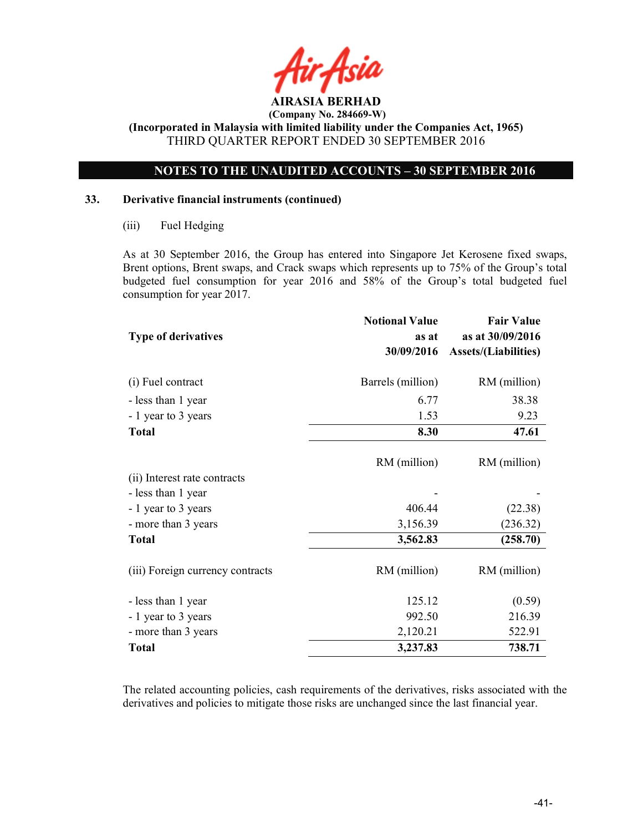![](_page_40_Picture_0.jpeg)

(Incorporated in Malaysia with limited liability under the Companies Act, 1965) THIRD QUARTER REPORT ENDED 30 SEPTEMBER 2016

### NOTES TO THE UNAUDITED ACCOUNTS – 30 SEPTEMBER 2016

### 33. Derivative financial instruments (continued)

(iii) Fuel Hedging

As at 30 September 2016, the Group has entered into Singapore Jet Kerosene fixed swaps, Brent options, Brent swaps, and Crack swaps which represents up to 75% of the Group's total budgeted fuel consumption for year 2016 and 58% of the Group's total budgeted fuel consumption for year 2017.

|                                  | <b>Notional Value</b> | <b>Fair Value</b>           |
|----------------------------------|-----------------------|-----------------------------|
| <b>Type of derivatives</b>       | as at                 | as at 30/09/2016            |
|                                  | 30/09/2016            | <b>Assets/(Liabilities)</b> |
| (i) Fuel contract                | Barrels (million)     | RM (million)                |
| - less than 1 year               | 6.77                  | 38.38                       |
| - 1 year to 3 years              | 1.53                  | 9.23                        |
| <b>Total</b>                     | 8.30                  | 47.61                       |
|                                  | RM (million)          | RM (million)                |
| (ii) Interest rate contracts     |                       |                             |
| - less than 1 year               |                       |                             |
| - 1 year to 3 years              | 406.44                | (22.38)                     |
| - more than 3 years              | 3,156.39              | (236.32)                    |
| <b>Total</b>                     | 3,562.83              | (258.70)                    |
| (iii) Foreign currency contracts | RM (million)          | RM (million)                |
| - less than 1 year               | 125.12                | (0.59)                      |
| - 1 year to 3 years              | 992.50                | 216.39                      |
| - more than 3 years              | 2,120.21              | 522.91                      |
| <b>Total</b>                     | 3,237.83              | 738.71                      |

The related accounting policies, cash requirements of the derivatives, risks associated with the derivatives and policies to mitigate those risks are unchanged since the last financial year.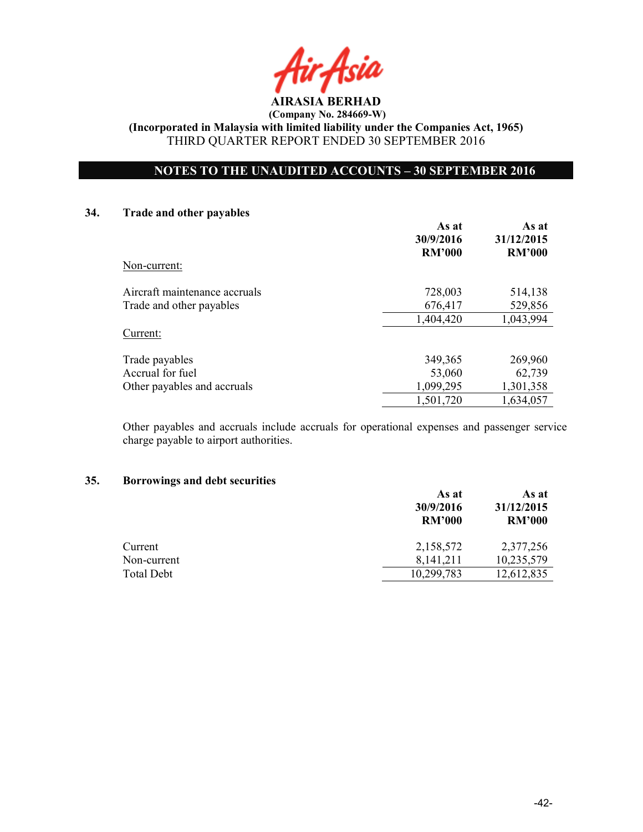![](_page_41_Picture_0.jpeg)

(Incorporated in Malaysia with limited liability under the Companies Act, 1965) THIRD QUARTER REPORT ENDED 30 SEPTEMBER 2016

### NOTES TO THE UNAUDITED ACCOUNTS – 30 SEPTEMBER 2016

### 34. Trade and other payables

|                               | As at<br>30/9/2016<br><b>RM'000</b> | As at<br>31/12/2015<br><b>RM'000</b> |
|-------------------------------|-------------------------------------|--------------------------------------|
| Non-current:                  |                                     |                                      |
| Aircraft maintenance accruals | 728,003                             | 514,138                              |
| Trade and other payables      | 676,417                             | 529,856                              |
|                               | 1,404,420                           | 1,043,994                            |
| Current:                      |                                     |                                      |
| Trade payables                | 349,365                             | 269,960                              |
| Accrual for fuel              | 53,060                              | 62,739                               |
| Other payables and accruals   | 1,099,295                           | 1,301,358                            |
|                               | 1,501,720                           | 1,634,057                            |

Other payables and accruals include accruals for operational expenses and passenger service charge payable to airport authorities.

### 35. Borrowings and debt securities

|                   | As at<br>30/9/2016<br><b>RM'000</b> | As at<br>31/12/2015<br><b>RM'000</b> |
|-------------------|-------------------------------------|--------------------------------------|
| Current           | 2,158,572                           | 2,377,256                            |
| Non-current       | 8,141,211                           | 10,235,579                           |
| <b>Total Debt</b> | 10,299,783                          | 12,612,835                           |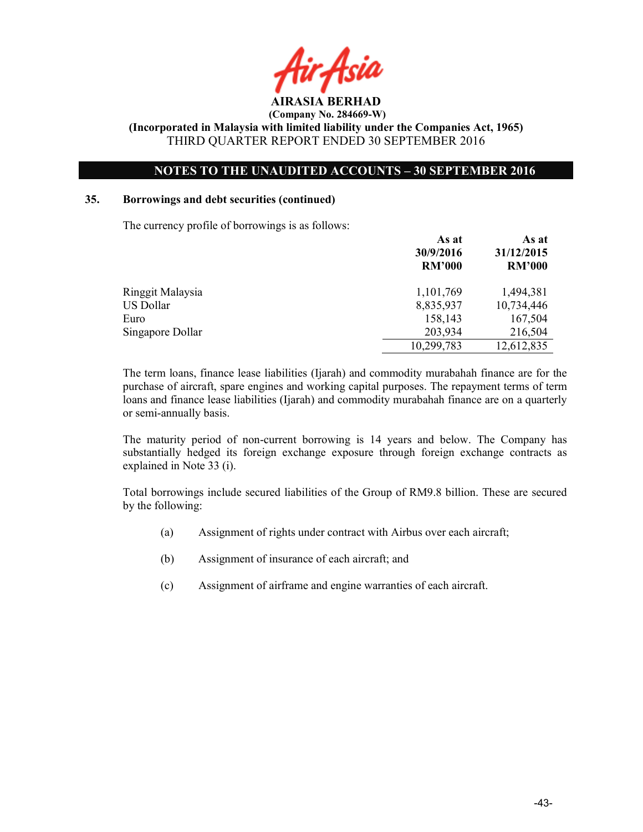![](_page_42_Picture_0.jpeg)

### NOTES TO THE UNAUDITED ACCOUNTS – 30 SEPTEMBER 2016

### 35. Borrowings and debt securities (continued)

The currency profile of borrowings is as follows:

|                  | As at<br>30/9/2016<br><b>RM'000</b> | As at<br>31/12/2015<br><b>RM'000</b> |
|------------------|-------------------------------------|--------------------------------------|
| Ringgit Malaysia | 1,101,769                           | 1,494,381                            |
| US Dollar        | 8,835,937                           | 10,734,446                           |
| Euro             | 158,143                             | 167,504                              |
| Singapore Dollar | 203,934                             | 216,504                              |
|                  | 10,299,783                          | 12,612,835                           |

The term loans, finance lease liabilities (Ijarah) and commodity murabahah finance are for the purchase of aircraft, spare engines and working capital purposes. The repayment terms of term loans and finance lease liabilities (Ijarah) and commodity murabahah finance are on a quarterly or semi-annually basis.

The maturity period of non-current borrowing is 14 years and below. The Company has substantially hedged its foreign exchange exposure through foreign exchange contracts as explained in Note 33 (i).

Total borrowings include secured liabilities of the Group of RM9.8 billion. These are secured by the following:

- (a) Assignment of rights under contract with Airbus over each aircraft;
- (b) Assignment of insurance of each aircraft; and
- (c) Assignment of airframe and engine warranties of each aircraft.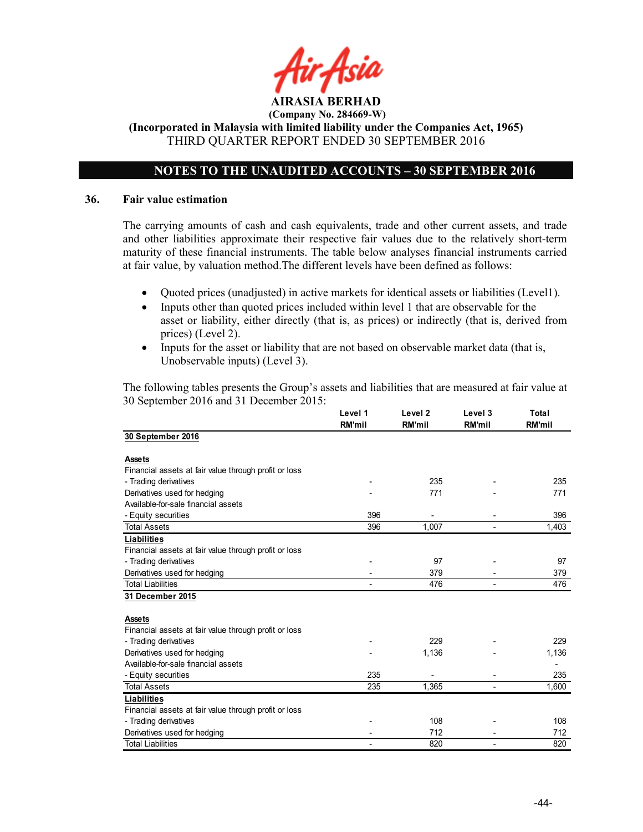![](_page_43_Picture_0.jpeg)

(Incorporated in Malaysia with limited liability under the Companies Act, 1965) THIRD QUARTER REPORT ENDED 30 SEPTEMBER 2016

### NOTES TO THE UNAUDITED ACCOUNTS – 30 SEPTEMBER 2016

### 36. Fair value estimation

The carrying amounts of cash and cash equivalents, trade and other current assets, and trade and other liabilities approximate their respective fair values due to the relatively short-term maturity of these financial instruments. The table below analyses financial instruments carried at fair value, by valuation method.The different levels have been defined as follows:

- Quoted prices (unadjusted) in active markets for identical assets or liabilities (Level1).
- Inputs other than quoted prices included within level 1 that are observable for the asset or liability, either directly (that is, as prices) or indirectly (that is, derived from prices) (Level 2).
- Inputs for the asset or liability that are not based on observable market data (that is, Unobservable inputs) (Level 3).

The following tables presents the Group's assets and liabilities that are measured at fair value at 30 September 2016 and 31 December 2015:

|                                                       | Level 1<br><b>RM'mil</b> | Level <sub>2</sub><br><b>RM'mil</b> | Level 3<br><b>RM'mil</b> | Total<br><b>RM'mil</b> |
|-------------------------------------------------------|--------------------------|-------------------------------------|--------------------------|------------------------|
| 30 September 2016                                     |                          |                                     |                          |                        |
| <b>Assets</b>                                         |                          |                                     |                          |                        |
| Financial assets at fair value through profit or loss |                          |                                     |                          |                        |
| - Trading derivatives                                 |                          | 235                                 |                          | 235                    |
| Derivatives used for hedging                          |                          | 771                                 |                          | 771                    |
| Available-for-sale financial assets                   |                          |                                     |                          |                        |
| - Equity securities                                   | 396                      |                                     |                          | 396                    |
| <b>Total Assets</b>                                   | 396                      | 1,007                               |                          | 1,403                  |
| <b>Liabilities</b>                                    |                          |                                     |                          |                        |
| Financial assets at fair value through profit or loss |                          |                                     |                          |                        |
| - Trading derivatives                                 |                          | 97                                  |                          | 97                     |
| Derivatives used for hedging                          |                          | 379                                 |                          | 379                    |
| <b>Total Liabilities</b>                              |                          | 476                                 |                          | 476                    |
| 31 December 2015                                      |                          |                                     |                          |                        |
|                                                       |                          |                                     |                          |                        |
| <b>Assets</b>                                         |                          |                                     |                          |                        |
| Financial assets at fair value through profit or loss |                          |                                     |                          |                        |
| - Trading derivatives                                 |                          | 229                                 |                          | 229                    |
| Derivatives used for hedging                          |                          | 1,136                               |                          | 1,136                  |
| Available-for-sale financial assets                   |                          |                                     |                          |                        |
| - Equity securities                                   | 235                      |                                     |                          | 235                    |
| <b>Total Assets</b>                                   | 235                      | 1,365                               |                          | 1,600                  |
| <b>Liabilities</b>                                    |                          |                                     |                          |                        |
| Financial assets at fair value through profit or loss |                          |                                     |                          |                        |
| - Trading derivatives                                 |                          | 108                                 |                          | 108                    |
| Derivatives used for hedging                          |                          | 712                                 |                          | 712                    |
| <b>Total Liabilities</b>                              |                          | 820                                 |                          | 820                    |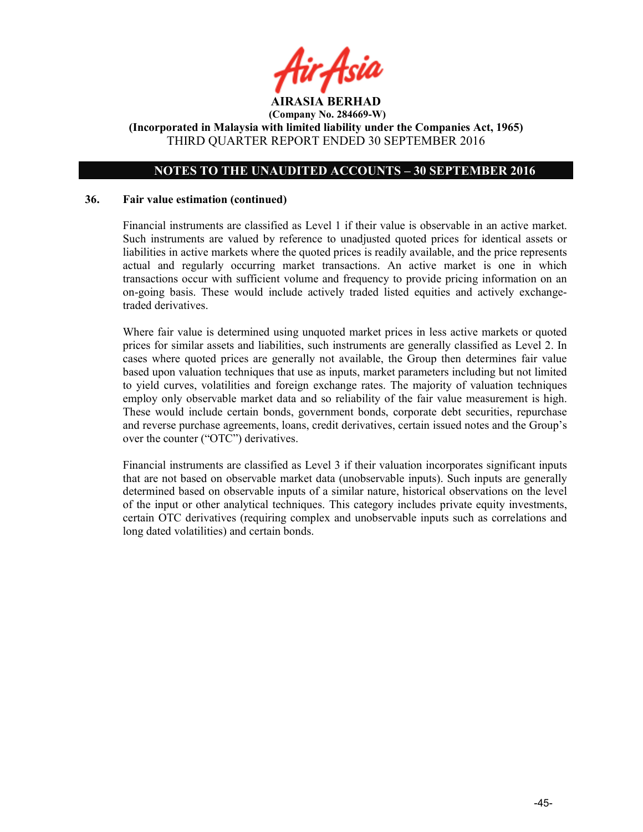![](_page_44_Picture_0.jpeg)

### NOTES TO THE UNAUDITED ACCOUNTS – 30 SEPTEMBER 2016

### 36. Fair value estimation (continued)

Financial instruments are classified as Level 1 if their value is observable in an active market. Such instruments are valued by reference to unadjusted quoted prices for identical assets or liabilities in active markets where the quoted prices is readily available, and the price represents actual and regularly occurring market transactions. An active market is one in which transactions occur with sufficient volume and frequency to provide pricing information on an on-going basis. These would include actively traded listed equities and actively exchangetraded derivatives.

Where fair value is determined using unquoted market prices in less active markets or quoted prices for similar assets and liabilities, such instruments are generally classified as Level 2. In cases where quoted prices are generally not available, the Group then determines fair value based upon valuation techniques that use as inputs, market parameters including but not limited to yield curves, volatilities and foreign exchange rates. The majority of valuation techniques employ only observable market data and so reliability of the fair value measurement is high. These would include certain bonds, government bonds, corporate debt securities, repurchase and reverse purchase agreements, loans, credit derivatives, certain issued notes and the Group's over the counter ("OTC") derivatives.

Financial instruments are classified as Level 3 if their valuation incorporates significant inputs that are not based on observable market data (unobservable inputs). Such inputs are generally determined based on observable inputs of a similar nature, historical observations on the level of the input or other analytical techniques. This category includes private equity investments, certain OTC derivatives (requiring complex and unobservable inputs such as correlations and long dated volatilities) and certain bonds.